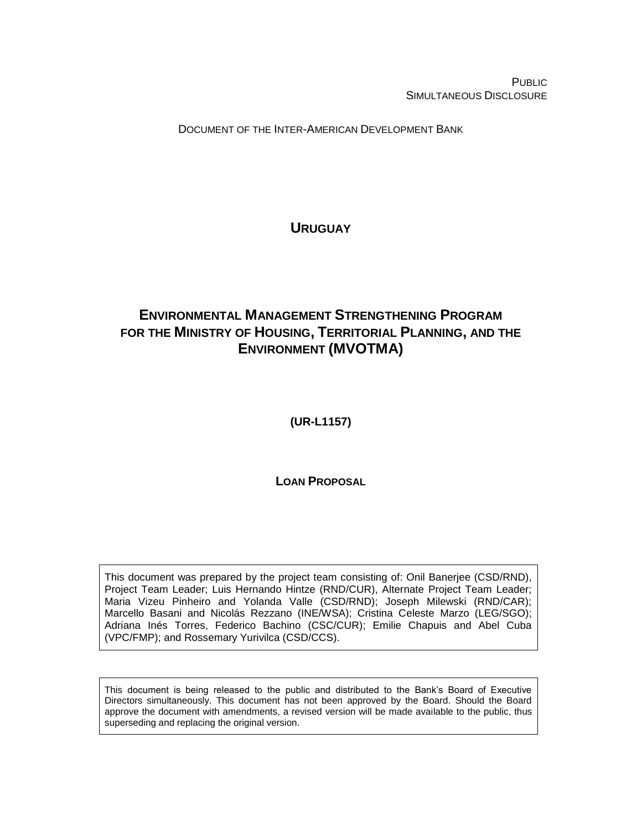PUBLIC SIMULTANEOUS DISCLOSURE

DOCUMENT OF THE INTER-AMERICAN DEVELOPMENT BANK

**URUGUAY**

# <span id="page-0-1"></span><span id="page-0-0"></span>**ENVIRONMENTAL MANAGEMENT STRENGTHENING PROGRAM FOR THE MINISTRY OF HOUSING, TERRITORIAL PLANNING, AND THE ENVIRONMENT (MVOTMA)**

<span id="page-0-2"></span>**(UR-L1157)**

**LOAN PROPOSAL**

This document was prepared by the project team consisting of: Onil Banerjee (CSD/RND), Project Team Leader; Luis Hernando Hintze (RND/CUR), Alternate Project Team Leader; Maria Vizeu Pinheiro and Yolanda Valle (CSD/RND); Joseph Milewski (RND/CAR); Marcello Basani and Nicolás Rezzano (INE/WSA); Cristina Celeste Marzo (LEG/SGO); Adriana Inés Torres, Federico Bachino (CSC/CUR); Emilie Chapuis and Abel Cuba (VPC/FMP); and Rossemary Yurivilca (CSD/CCS).

This document is being released to the public and distributed to the Bank's Board of Executive Directors simultaneously. This document has not been approved by the Board. Should the Board approve the document with amendments, a revised version will be made available to the public, thus superseding and replacing the original version.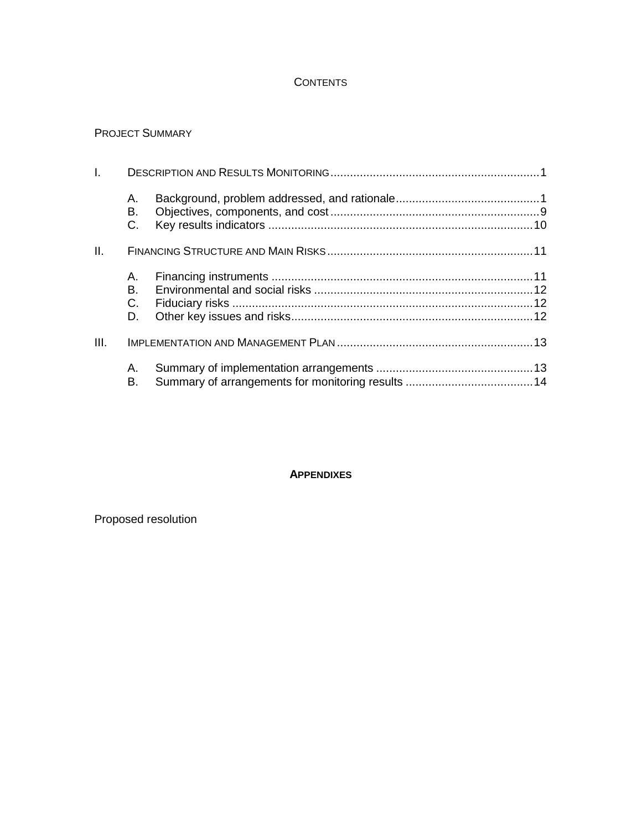## **CONTENTS**

## PROJECT SUMMARY

| $\mathbf{L}$ |                |  |
|--------------|----------------|--|
|              | А.<br>В.<br>C. |  |
| II.          |                |  |
|              | Α.             |  |
|              | В.             |  |
|              | $C_{1}$        |  |
|              | D.             |  |
| III.         |                |  |
|              | А.<br>В.       |  |

### **APPENDIXES**

Proposed resolution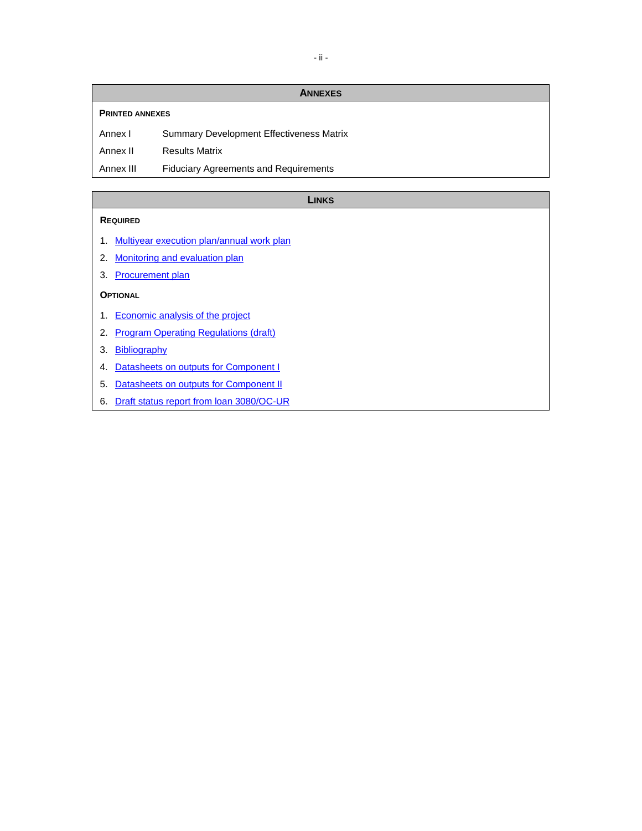#### **ANNEXES**

#### **PRINTED ANNEXES**

Annex I Summary Development Effectiveness Matrix

Annex II Results Matrix

Annex III Fiduciary Agreements and Requirements

#### **LINKS**

#### **REQUIRED**

- 1. [Multiyear execution plan/annual work plan](http://idbdocs.iadb.org/wsdocs/getDocument.aspx?DOCNUM=EZSHARE-434689127-27)
- 2. [Monitoring and evaluation plan](http://idbdocs.iadb.org/wsdocs/getDocument.aspx?DOCNUM=EZSHARE-434689127-37)
- 3. [Procurement plan](http://idbdocs.iadb.org/wsdocs/getDocument.aspx?DOCNUM=EZSHARE-434689127-26)

### **OPTIONAL**

- 1. [Economic analysis of the project](http://idbdocs.iadb.org/wsdocs/getDocument.aspx?DOCNUM=EZSHARE-434689127-28)
- 2. [Program Operating Regulations \(draft\)](http://idbdocs.iadb.org/wsdocs/getDocument.aspx?DOCNUM=EZSHARE-434689127-48)

## 3. [Bibliography](http://idbdocs.iadb.org/wsdocs/getDocument.aspx?DOCNUM=EZSHARE-434689127-22)

- 4. [Datasheets on outputs for Component I](http://idbdocs.iadb.org/wsdocs/getDocument.aspx?DOCNUM=EZSHARE-434689127-39)
- 5. [Datasheets on outputs for Component II](http://idbdocs.iadb.org/wsdocs/getDocument.aspx?DOCNUM=EZSHARE-434689127-40)
- 6. [Draft status report from loan 3080/OC-UR](http://idbdocs.iadb.org/wsdocs/getDocument.aspx?DOCNUM=EZSHARE-434689127-38)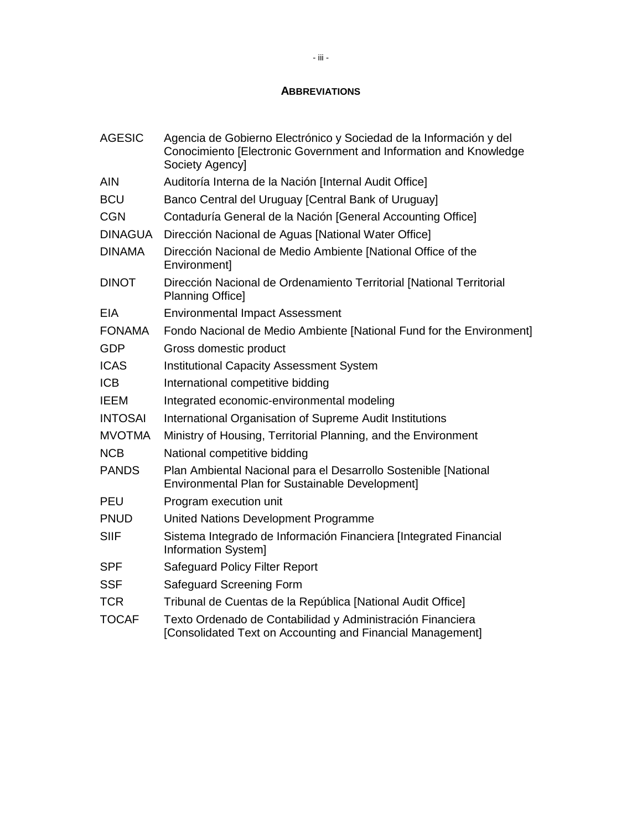## **ABBREVIATIONS**

| <b>AGESIC</b>  | Agencia de Gobierno Electrónico y Sociedad de la Información y del<br>Conocimiento [Electronic Government and Information and Knowledge<br>Society Agencyl |
|----------------|------------------------------------------------------------------------------------------------------------------------------------------------------------|
| <b>AIN</b>     | Auditoría Interna de la Nación [Internal Audit Office]                                                                                                     |
| <b>BCU</b>     | Banco Central del Uruguay [Central Bank of Uruguay]                                                                                                        |
| <b>CGN</b>     | Contaduría General de la Nación [General Accounting Office]                                                                                                |
| <b>DINAGUA</b> | Dirección Nacional de Aguas [National Water Office]                                                                                                        |
| <b>DINAMA</b>  | Dirección Nacional de Medio Ambiente [National Office of the<br>Environment]                                                                               |
| <b>DINOT</b>   | Dirección Nacional de Ordenamiento Territorial [National Territorial<br><b>Planning Officel</b>                                                            |
| <b>EIA</b>     | <b>Environmental Impact Assessment</b>                                                                                                                     |
| <b>FONAMA</b>  | Fondo Nacional de Medio Ambiente [National Fund for the Environment]                                                                                       |
| <b>GDP</b>     | Gross domestic product                                                                                                                                     |
| <b>ICAS</b>    | <b>Institutional Capacity Assessment System</b>                                                                                                            |
| <b>ICB</b>     | International competitive bidding                                                                                                                          |
| <b>IEEM</b>    | Integrated economic-environmental modeling                                                                                                                 |
| <b>INTOSAI</b> | International Organisation of Supreme Audit Institutions                                                                                                   |
| <b>MVOTMA</b>  | Ministry of Housing, Territorial Planning, and the Environment                                                                                             |
| <b>NCB</b>     | National competitive bidding                                                                                                                               |
| <b>PANDS</b>   | Plan Ambiental Nacional para el Desarrollo Sostenible [National<br>Environmental Plan for Sustainable Development]                                         |
| <b>PEU</b>     | Program execution unit                                                                                                                                     |
| <b>PNUD</b>    | United Nations Development Programme                                                                                                                       |
| <b>SIIF</b>    | Sistema Integrado de Información Financiera [Integrated Financial<br>Information System]                                                                   |
| <b>SPF</b>     | <b>Safeguard Policy Filter Report</b>                                                                                                                      |
| <b>SSF</b>     | Safeguard Screening Form                                                                                                                                   |
| <b>TCR</b>     | Tribunal de Cuentas de la República [National Audit Office]                                                                                                |
| <b>TOCAF</b>   | Texto Ordenado de Contabilidad y Administración Financiera<br>[Consolidated Text on Accounting and Financial Management]                                   |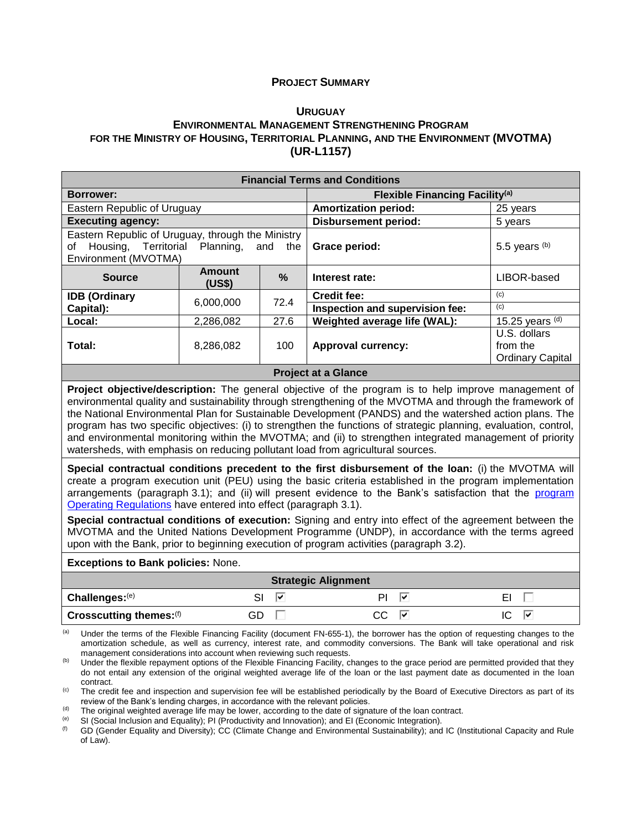#### **PROJECT SUMMARY**

#### **U[RUGUAY](#page-0-0)**

## **E[NVIRONMENTAL](#page-0-1) MANAGEMENT STRENGTHENING PROGRAM FOR THE MINISTRY OF HOUSING, TERRITORIAL PLANNING, AND THE ENVIRONMENT [\(MVOTMA\)](#page-0-1) [\(UR-L1157\)](#page-0-2)**

| <b>Financial Terms and Conditions</b>                                                                   |                      |                                       |                                                     |  |  |  |  |
|---------------------------------------------------------------------------------------------------------|----------------------|---------------------------------------|-----------------------------------------------------|--|--|--|--|
| <b>Borrower:</b>                                                                                        |                      | <b>Flexible Financing Facility(a)</b> |                                                     |  |  |  |  |
| Eastern Republic of Uruguay                                                                             |                      | <b>Amortization period:</b>           | 25 years                                            |  |  |  |  |
| <b>Executing agency:</b>                                                                                |                      | <b>Disbursement period:</b>           | 5 years                                             |  |  |  |  |
| Eastern Republic of Uruguay, through the Ministry<br>Housing, Territorial<br>οf<br>Environment (MVOTMA) | Planning,<br>and the | Grace period:                         | 5.5 years $(b)$                                     |  |  |  |  |
| <b>Amount</b><br><b>Source</b><br>(US\$)                                                                | $\frac{9}{6}$        | Interest rate:                        | LIBOR-based                                         |  |  |  |  |
| <b>IDB</b> (Ordinary                                                                                    | 72.4                 | <b>Credit fee:</b>                    | (c)                                                 |  |  |  |  |
| 6,000,000<br>Capital):                                                                                  |                      | Inspection and supervision fee:       | (c)                                                 |  |  |  |  |
| Local:<br>2,286,082                                                                                     | 27.6                 | Weighted average life (WAL):          | 15.25 years $(d)$                                   |  |  |  |  |
| Total:<br>8,286,082                                                                                     | 100                  | <b>Approval currency:</b>             | U.S. dollars<br>from the<br><b>Ordinary Capital</b> |  |  |  |  |

#### **Project at a Glance**

**Project objective/description:** The general objective of the program is to help improve management of environmental quality and sustainability through strengthening of the MVOTMA and through the framework of the National Environmental Plan for Sustainable Development (PANDS) and the watershed action plans. The program has two specific objectives: (i) to strengthen the functions of strategic planning, evaluation, control, and environmental monitoring within the MVOTMA; and (ii) to strengthen integrated management of priority watersheds, with emphasis on reducing pollutant load from agricultural sources.

**Special contractual conditions precedent to the first disbursement of the loan:** (i) the MVOTMA will create a program execution unit (PEU) using the basic criteria established in the program implementation arrangements (paragraph 3.1); and (ii) will present evidence to the Bank's satisfaction that the [program](http://idbdocs.iadb.org/wsdocs/getDocument.aspx?DOCNUM=EZSHARE-434689127-48)  [Operating Regulations](http://idbdocs.iadb.org/wsdocs/getDocument.aspx?DOCNUM=EZSHARE-434689127-48) have entered into effect (paragraph 3.1).

**Special contractual conditions of execution:** Signing and entry into effect of the agreement between the MVOTMA and the United Nations Development Programme (UNDP), in accordance with the terms agreed upon with the Bank, prior to beginning execution of program activities (paragraph 3.2).

#### **Exceptions to Bank policies:** None.

| <b>Strategic Alignment</b>   |    |          |    |  |  |  |  |
|------------------------------|----|----------|----|--|--|--|--|
| $\vert$ Challenges: $^{(e)}$ | ₩  | ÞΙ<br>∣V |    |  |  |  |  |
| Crosscutting themes: (f)     | GD | ∣⊽       | ∣V |  |  |  |  |

(a) Under the terms of the Flexible Financing Facility (document FN-655-1), the borrower has the option of requesting changes to the amortization schedule, as well as currency, interest rate, and commodity conversions. The Bank will take operational and risk management considerations into account when reviewing such requests.

<sup>(b)</sup> Under the flexible repayment options of the Flexible Financing Facility, changes to the grace period are permitted provided that they do not entail any extension of the original weighted average life of the loan or the last payment date as documented in the loan contract.

<sup>(c)</sup> The credit fee and inspection and supervision fee will be established periodically by the Board of Executive Directors as part of its review of the Bank's lending charges, in accordance with the relevant policies.

(d) The original weighted average life may be lower, according to the date of signature of the loan contract.

(e) SI (Social Inclusion and Equality); PI (Productivity and Innovation); and EI (Economic Integration).

GD (Gender Equality and Diversity); CC (Climate Change and Environmental Sustainability); and IC (Institutional Capacity and Rule of Law).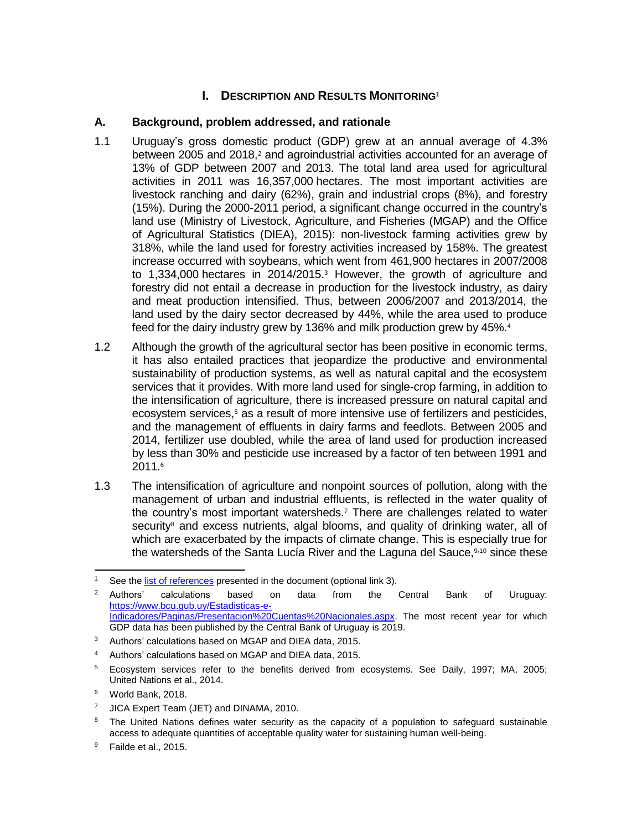## **I. DESCRIPTION AND RESULTS MONITORING<sup>1</sup>**

## **A. Background, problem addressed, and rationale**

- 1.1 Uruguay's gross domestic product (GDP) grew at an annual average of 4.3% between 2005 and 2018, $2$  and agroindustrial activities accounted for an average of 13% of GDP between 2007 and 2013. The total land area used for agricultural activities in 2011 was 16,357,000 hectares. The most important activities are livestock ranching and dairy (62%), grain and industrial crops (8%), and forestry (15%). During the 2000-2011 period, a significant change occurred in the country's land use (Ministry of Livestock, Agriculture, and Fisheries (MGAP) and the Office of Agricultural Statistics (DIEA), 2015): non-livestock farming activities grew by 318%, while the land used for forestry activities increased by 158%. The greatest increase occurred with soybeans, which went from 461,900 hectares in 2007/2008 to 1,334,000 hectares in 2014/2015.<sup>3</sup> However, the growth of agriculture and forestry did not entail a decrease in production for the livestock industry, as dairy and meat production intensified. Thus, between 2006/2007 and 2013/2014, the land used by the dairy sector decreased by 44%, while the area used to produce feed for the dairy industry grew by 136% and milk production grew by 45%.<sup>4</sup>
- 1.2 Although the growth of the agricultural sector has been positive in economic terms, it has also entailed practices that jeopardize the productive and environmental sustainability of production systems, as well as natural capital and the ecosystem services that it provides. With more land used for single-crop farming, in addition to the intensification of agriculture, there is increased pressure on natural capital and ecosystem services, <sup>5</sup> as a result of more intensive use of fertilizers and pesticides, and the management of effluents in dairy farms and feedlots. Between 2005 and 2014, fertilizer use doubled, while the area of land used for production increased by less than 30% and pesticide use increased by a factor of ten between 1991 and 2011.<sup>6</sup>
- 1.3 The intensification of agriculture and nonpoint sources of pollution, along with the management of urban and industrial effluents, is reflected in the water quality of the country's most important watersheds. <sup>7</sup> There are challenges related to water security<sup>8</sup> and excess nutrients, algal blooms, and quality of drinking water, all of which are exacerbated by the impacts of climate change. This is especially true for the watersheds of the Santa Lucía River and the Laguna del Sauce, 9,10 since these

 $\overline{a}$ <sup>1</sup> See the [list of references](http://idbdocs.iadb.org/wsdocs/getDocument.aspx?DOCNUM=EZSHARE-434689127-22) presented in the document (optional link 3).

<sup>&</sup>lt;sup>2</sup> Authors' calculations based on data from the Central Bank of Uruguay: [https://www.bcu.gub.uy/Estadisticas-e-](https://www.bcu.gub.uy/Estadisticas-e-Indicadores/Paginas/Presentacion%20Cuentas%20Nacionales.aspx)[Indicadores/Paginas/Presentacion%20Cuentas%20Nacionales.aspx.](https://www.bcu.gub.uy/Estadisticas-e-Indicadores/Paginas/Presentacion%20Cuentas%20Nacionales.aspx) The most recent year for which GDP data has been published by the Central Bank of Uruguay is 2019.

<sup>3</sup> Authors' calculations based on MGAP and DIEA data, 2015.

<sup>4</sup> Authors' calculations based on MGAP and DIEA data, 2015.

<sup>&</sup>lt;sup>5</sup> Ecosystem services refer to the benefits derived from ecosystems. See Daily, 1997; MA, 2005; United Nations et al., 2014.

<sup>6</sup> World Bank, 2018.

<sup>&</sup>lt;sup>7</sup> JICA Expert Team (JET) and DINAMA, 2010.

<sup>&</sup>lt;sup>8</sup> The United Nations defines water security as the capacity of a population to safeguard sustainable access to adequate quantities of acceptable quality water for sustaining human well-being.

 $9$  Failde et al., 2015.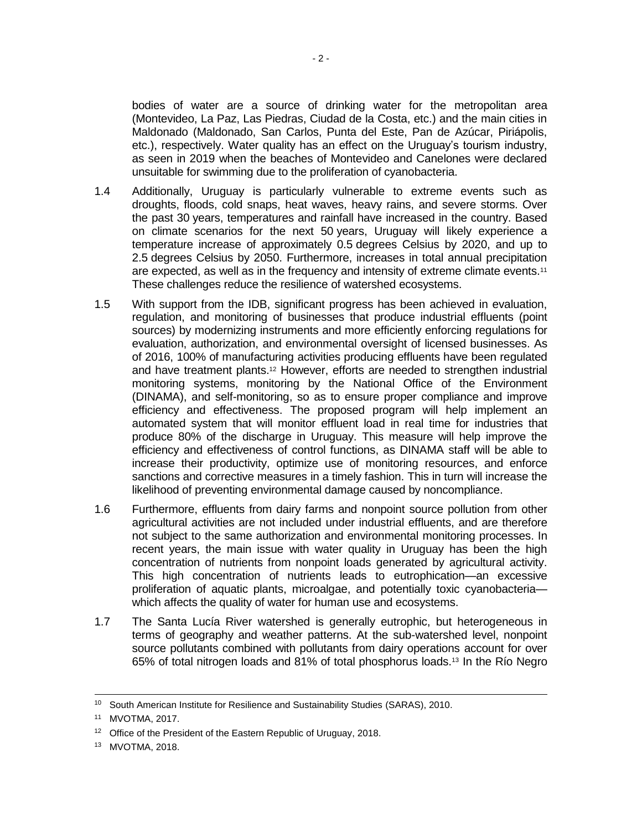bodies of water are a source of drinking water for the metropolitan area (Montevideo, La Paz, Las Piedras, Ciudad de la Costa, etc.) and the main cities in Maldonado (Maldonado, San Carlos, Punta del Este, Pan de Azúcar, Piriápolis, etc.), respectively. Water quality has an effect on the Uruguay's tourism industry, as seen in 2019 when the beaches of Montevideo and Canelones were declared unsuitable for swimming due to the proliferation of cyanobacteria.

- 1.4 Additionally, Uruguay is particularly vulnerable to extreme events such as droughts, floods, cold snaps, heat waves, heavy rains, and severe storms. Over the past 30 years, temperatures and rainfall have increased in the country. Based on climate scenarios for the next 50 years, Uruguay will likely experience a temperature increase of approximately 0.5 degrees Celsius by 2020, and up to 2.5 degrees Celsius by 2050. Furthermore, increases in total annual precipitation are expected, as well as in the frequency and intensity of extreme climate events.<sup>11</sup> These challenges reduce the resilience of watershed ecosystems.
- 1.5 With support from the IDB, significant progress has been achieved in evaluation, regulation, and monitoring of businesses that produce industrial effluents (point sources) by modernizing instruments and more efficiently enforcing regulations for evaluation, authorization, and environmental oversight of licensed businesses. As of 2016, 100% of manufacturing activities producing effluents have been regulated and have treatment plants. <sup>12</sup> However, efforts are needed to strengthen industrial monitoring systems, monitoring by the National Office of the Environment (DINAMA), and self-monitoring, so as to ensure proper compliance and improve efficiency and effectiveness. The proposed program will help implement an automated system that will monitor effluent load in real time for industries that produce 80% of the discharge in Uruguay. This measure will help improve the efficiency and effectiveness of control functions, as DINAMA staff will be able to increase their productivity, optimize use of monitoring resources, and enforce sanctions and corrective measures in a timely fashion. This in turn will increase the likelihood of preventing environmental damage caused by noncompliance.
- 1.6 Furthermore, effluents from dairy farms and nonpoint source pollution from other agricultural activities are not included under industrial effluents, and are therefore not subject to the same authorization and environmental monitoring processes. In recent years, the main issue with water quality in Uruguay has been the high concentration of nutrients from nonpoint loads generated by agricultural activity. This high concentration of nutrients leads to eutrophication—an excessive proliferation of aquatic plants, microalgae, and potentially toxic cyanobacteria which affects the quality of water for human use and ecosystems.
- 1.7 The Santa Lucía River watershed is generally eutrophic, but heterogeneous in terms of geography and weather patterns. At the sub-watershed level, nonpoint source pollutants combined with pollutants from dairy operations account for over 65% of total nitrogen loads and 81% of total phosphorus loads.<sup>13</sup> In the Río Negro

 $\overline{a}$ 

<sup>10</sup> South American Institute for Resilience and Sustainability Studies (SARAS), 2010.

<sup>11</sup> MVOTMA, 2017.

<sup>&</sup>lt;sup>12</sup> Office of the President of the Eastern Republic of Uruguay, 2018.

<sup>13</sup> MVOTMA, 2018.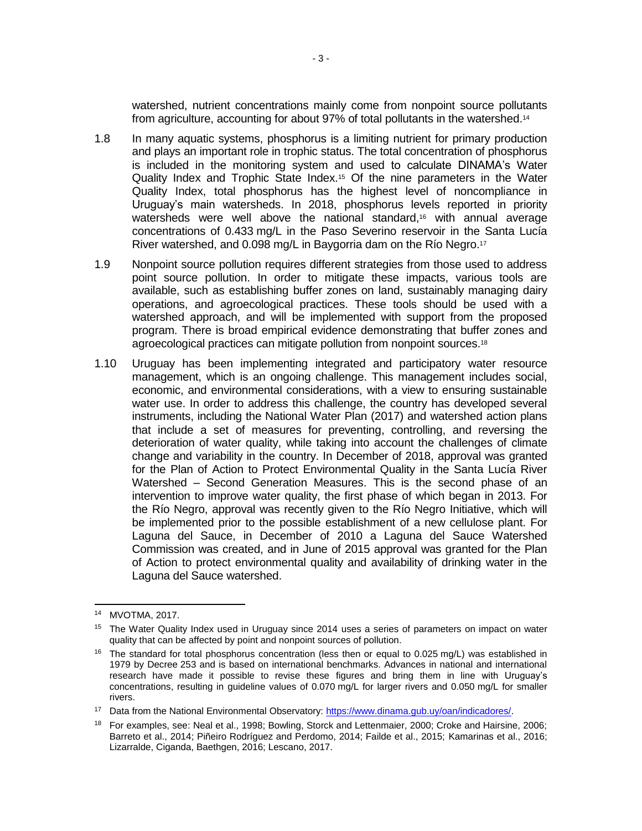watershed, nutrient concentrations mainly come from nonpoint source pollutants from agriculture, accounting for about 97% of total pollutants in the watershed.<sup>14</sup>

- 1.8 In many aquatic systems, phosphorus is a limiting nutrient for primary production and plays an important role in trophic status. The total concentration of phosphorus is included in the monitoring system and used to calculate DINAMA's Water Quality Index and Trophic State Index.<sup>15</sup> Of the nine parameters in the Water Quality Index, total phosphorus has the highest level of noncompliance in Uruguay's main watersheds. In 2018, phosphorus levels reported in priority watersheds were well above the national standard,<sup>16</sup> with annual average concentrations of 0.433 mg/L in the Paso Severino reservoir in the Santa Lucía River watershed, and 0.098 mg/L in Baygorria dam on the Río Negro.<sup>17</sup>
- 1.9 Nonpoint source pollution requires different strategies from those used to address point source pollution. In order to mitigate these impacts, various tools are available, such as establishing buffer zones on land, sustainably managing dairy operations, and agroecological practices. These tools should be used with a watershed approach, and will be implemented with support from the proposed program. There is broad empirical evidence demonstrating that buffer zones and agroecological practices can mitigate pollution from nonpoint sources.<sup>18</sup>
- 1.10 Uruguay has been implementing integrated and participatory water resource management, which is an ongoing challenge. This management includes social, economic, and environmental considerations, with a view to ensuring sustainable water use. In order to address this challenge, the country has developed several instruments, including the National Water Plan (2017) and watershed action plans that include a set of measures for preventing, controlling, and reversing the deterioration of water quality, while taking into account the challenges of climate change and variability in the country. In December of 2018, approval was granted for the Plan of Action to Protect Environmental Quality in the Santa Lucía River Watershed – Second Generation Measures. This is the second phase of an intervention to improve water quality, the first phase of which began in 2013. For the Río Negro, approval was recently given to the Río Negro Initiative, which will be implemented prior to the possible establishment of a new cellulose plant. For Laguna del Sauce, in December of 2010 a Laguna del Sauce Watershed Commission was created, and in June of 2015 approval was granted for the Plan of Action to protect environmental quality and availability of drinking water in the Laguna del Sauce watershed.

<sup>14</sup> MVOTMA, 2017.

<sup>&</sup>lt;sup>15</sup> The Water Quality Index used in Uruguay since 2014 uses a series of parameters on impact on water quality that can be affected by point and nonpoint sources of pollution.

<sup>&</sup>lt;sup>16</sup> The standard for total phosphorus concentration (less then or equal to 0.025 mg/L) was established in 1979 by Decree 253 and is based on international benchmarks. Advances in national and international research have made it possible to revise these figures and bring them in line with Uruguay's concentrations, resulting in guideline values of 0.070 mg/L for larger rivers and 0.050 mg/L for smaller rivers.

<sup>&</sup>lt;sup>17</sup> Data from the National Environmental Observatory: [https://www.dinama.gub.uy/oan/indicadores/.](https://www.dinama.gub.uy/oan/indicadores/)

<sup>&</sup>lt;sup>18</sup> For examples, see: Neal et al., 1998; Bowling, Storck and Lettenmaier, 2000; Croke and Hairsine, 2006; Barreto et al., 2014; Piñeiro Rodríguez and Perdomo, 2014; Failde et al., 2015; Kamarinas et al., 2016; Lizarralde, Ciganda, Baethgen, 2016; Lescano, 2017.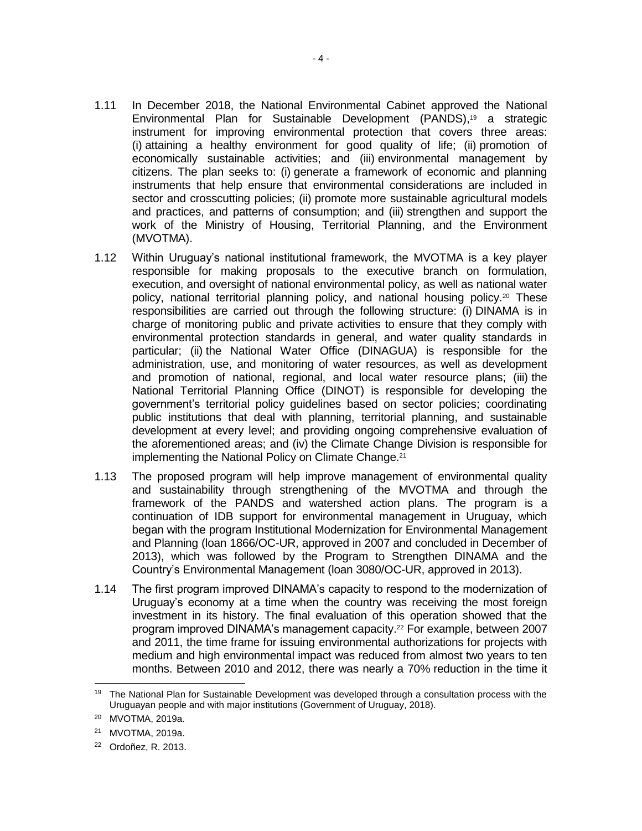- 1.11 In December 2018, the National Environmental Cabinet approved the National Environmental Plan for Sustainable Development (PANDS), <sup>19</sup> a strategic instrument for improving environmental protection that covers three areas: (i) attaining a healthy environment for good quality of life; (ii) promotion of economically sustainable activities; and (iii) environmental management by citizens. The plan seeks to: (i) generate a framework of economic and planning instruments that help ensure that environmental considerations are included in sector and crosscutting policies; (ii) promote more sustainable agricultural models and practices, and patterns of consumption; and (iii) strengthen and support the work of the Ministry of Housing, Territorial Planning, and the Environment (MVOTMA).
- 1.12 Within Uruguay's national institutional framework, the MVOTMA is a key player responsible for making proposals to the executive branch on formulation, execution, and oversight of national environmental policy, as well as national water policy, national territorial planning policy, and national housing policy.<sup>20</sup> These responsibilities are carried out through the following structure: (i) DINAMA is in charge of monitoring public and private activities to ensure that they comply with environmental protection standards in general, and water quality standards in particular; (ii) the National Water Office (DINAGUA) is responsible for the administration, use, and monitoring of water resources, as well as development and promotion of national, regional, and local water resource plans; (iii) the National Territorial Planning Office (DINOT) is responsible for developing the government's territorial policy guidelines based on sector policies; coordinating public institutions that deal with planning, territorial planning, and sustainable development at every level; and providing ongoing comprehensive evaluation of the aforementioned areas; and (iv) the Climate Change Division is responsible for implementing the National Policy on Climate Change.<sup>21</sup>
- 1.13 The proposed program will help improve management of environmental quality and sustainability through strengthening of the MVOTMA and through the framework of the PANDS and watershed action plans. The program is a continuation of IDB support for environmental management in Uruguay, which began with the program Institutional Modernization for Environmental Management and Planning (loan 1866/OC-UR, approved in 2007 and concluded in December of 2013), which was followed by the Program to Strengthen DINAMA and the Country's Environmental Management (loan 3080/OC-UR, approved in 2013).
- 1.14 The first program improved DINAMA's capacity to respond to the modernization of Uruguay's economy at a time when the country was receiving the most foreign investment in its history. The final evaluation of this operation showed that the program improved DINAMA's management capacity. <sup>22</sup> For example, between 2007 and 2011, the time frame for issuing environmental authorizations for projects with medium and high environmental impact was reduced from almost two years to ten months. Between 2010 and 2012, there was nearly a 70% reduction in the time it

 <sup>19</sup> The National Plan for Sustainable Development was developed through a consultation process with the Uruguayan people and with major institutions (Government of Uruguay, 2018).

<sup>20</sup> MVOTMA, 2019a.

<sup>21</sup> MVOTMA, 2019a.

<sup>22</sup> Ordoñez, R. 2013.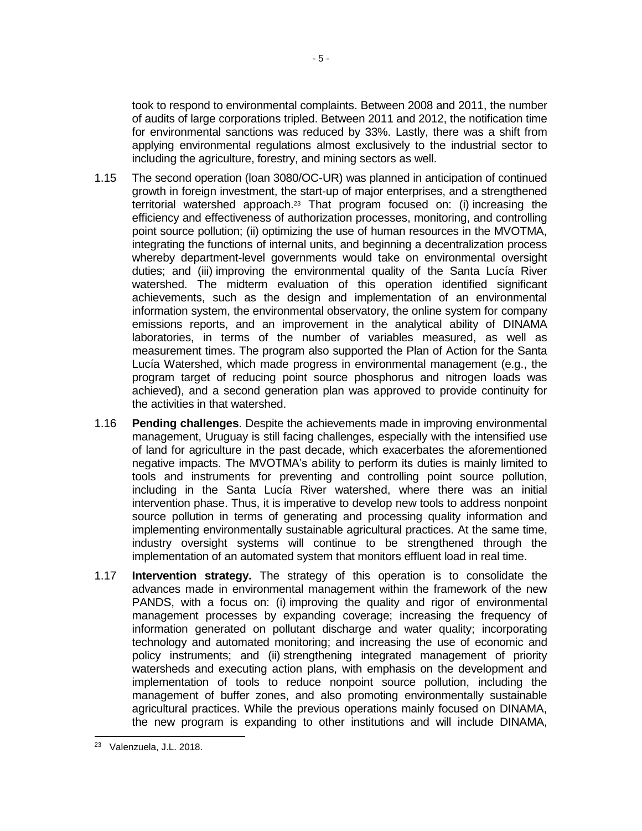took to respond to environmental complaints. Between 2008 and 2011, the number of audits of large corporations tripled. Between 2011 and 2012, the notification time for environmental sanctions was reduced by 33%. Lastly, there was a shift from applying environmental regulations almost exclusively to the industrial sector to including the agriculture, forestry, and mining sectors as well.

- 1.15 The second operation (loan 3080/OC-UR) was planned in anticipation of continued growth in foreign investment, the start-up of major enterprises, and a strengthened territorial watershed approach. <sup>23</sup> That program focused on: (i) increasing the efficiency and effectiveness of authorization processes, monitoring, and controlling point source pollution; (ii) optimizing the use of human resources in the MVOTMA, integrating the functions of internal units, and beginning a decentralization process whereby department-level governments would take on environmental oversight duties; and (iii) improving the environmental quality of the Santa Lucía River watershed. The midterm evaluation of this operation identified significant achievements, such as the design and implementation of an environmental information system, the environmental observatory, the online system for company emissions reports, and an improvement in the analytical ability of DINAMA laboratories, in terms of the number of variables measured, as well as measurement times. The program also supported the Plan of Action for the Santa Lucía Watershed, which made progress in environmental management (e.g., the program target of reducing point source phosphorus and nitrogen loads was achieved), and a second generation plan was approved to provide continuity for the activities in that watershed.
- 1.16 **Pending challenges**. Despite the achievements made in improving environmental management, Uruguay is still facing challenges, especially with the intensified use of land for agriculture in the past decade, which exacerbates the aforementioned negative impacts. The MVOTMA's ability to perform its duties is mainly limited to tools and instruments for preventing and controlling point source pollution, including in the Santa Lucía River watershed, where there was an initial intervention phase. Thus, it is imperative to develop new tools to address nonpoint source pollution in terms of generating and processing quality information and implementing environmentally sustainable agricultural practices. At the same time, industry oversight systems will continue to be strengthened through the implementation of an automated system that monitors effluent load in real time.
- 1.17 **Intervention strategy.** The strategy of this operation is to consolidate the advances made in environmental management within the framework of the new PANDS, with a focus on: (i) improving the quality and rigor of environmental management processes by expanding coverage; increasing the frequency of information generated on pollutant discharge and water quality; incorporating technology and automated monitoring; and increasing the use of economic and policy instruments; and (ii) strengthening integrated management of priority watersheds and executing action plans, with emphasis on the development and implementation of tools to reduce nonpoint source pollution, including the management of buffer zones, and also promoting environmentally sustainable agricultural practices. While the previous operations mainly focused on DINAMA, the new program is expanding to other institutions and will include DINAMA,

<sup>23</sup> Valenzuela, J.L. 2018.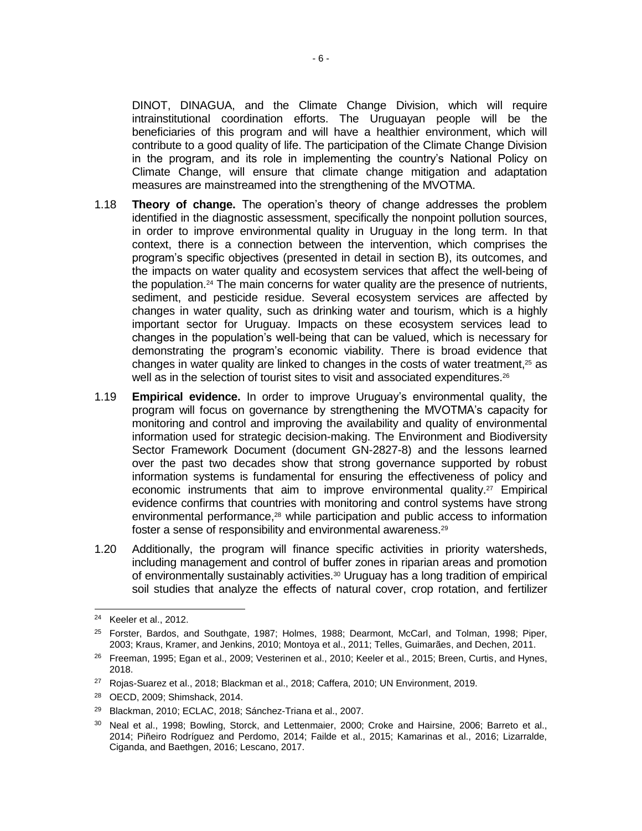DINOT, DINAGUA, and the Climate Change Division, which will require intrainstitutional coordination efforts. The Uruguayan people will be the beneficiaries of this program and will have a healthier environment, which will contribute to a good quality of life. The participation of the Climate Change Division in the program, and its role in implementing the country's National Policy on Climate Change, will ensure that climate change mitigation and adaptation measures are mainstreamed into the strengthening of the MVOTMA.

- 1.18 **Theory of change.** The operation's theory of change addresses the problem identified in the diagnostic assessment, specifically the nonpoint pollution sources, in order to improve environmental quality in Uruguay in the long term. In that context, there is a connection between the intervention, which comprises the program's specific objectives (presented in detail in section B), its outcomes, and the impacts on water quality and ecosystem services that affect the well-being of the population.<sup>24</sup> The main concerns for water quality are the presence of nutrients, sediment, and pesticide residue. Several ecosystem services are affected by changes in water quality, such as drinking water and tourism, which is a highly important sector for Uruguay. Impacts on these ecosystem services lead to changes in the population's well-being that can be valued, which is necessary for demonstrating the program's economic viability. There is broad evidence that changes in water quality are linked to changes in the costs of water treatment, <sup>25</sup> as well as in the selection of tourist sites to visit and associated expenditures. 26
- 1.19 **Empirical evidence.** In order to improve Uruguay's environmental quality, the program will focus on governance by strengthening the MVOTMA's capacity for monitoring and control and improving the availability and quality of environmental information used for strategic decision-making. The Environment and Biodiversity Sector Framework Document (document GN-2827-8) and the lessons learned over the past two decades show that strong governance supported by robust information systems is fundamental for ensuring the effectiveness of policy and economic instruments that aim to improve environmental quality. <sup>27</sup> Empirical evidence confirms that countries with monitoring and control systems have strong environmental performance, <sup>28</sup> while participation and public access to information foster a sense of responsibility and environmental awareness.<sup>29</sup>
- 1.20 Additionally, the program will finance specific activities in priority watersheds, including management and control of buffer zones in riparian areas and promotion of environmentally sustainably activities.<sup>30</sup> Uruguay has a long tradition of empirical soil studies that analyze the effects of natural cover, crop rotation, and fertilizer

 $24$ Keeler et al., 2012.

<sup>25</sup> Forster, Bardos, and Southgate, 1987; Holmes, 1988; Dearmont, McCarl, and Tolman, 1998; Piper, 2003; Kraus, Kramer, and Jenkins, 2010; Montoya et al., 2011; Telles, Guimarães, and Dechen, 2011.

<sup>26</sup> Freeman, 1995; Egan et al., 2009; Vesterinen et al., 2010; Keeler et al., 2015; Breen, Curtis, and Hynes, 2018.

<sup>27</sup> Rojas-Suarez et al., 2018; Blackman et al., 2018; Caffera, 2010; UN Environment, 2019.

<sup>28</sup> OECD, 2009; Shimshack, 2014.

<sup>29</sup> Blackman, 2010; ECLAC, 2018; Sánchez-Triana et al., 2007.

<sup>30</sup> Neal et al., 1998; Bowling, Storck, and Lettenmaier, 2000; Croke and Hairsine, 2006; Barreto et al., 2014; Piñeiro Rodríguez and Perdomo, 2014; Failde et al., 2015; Kamarinas et al., 2016; Lizarralde, Ciganda, and Baethgen, 2016; Lescano, 2017.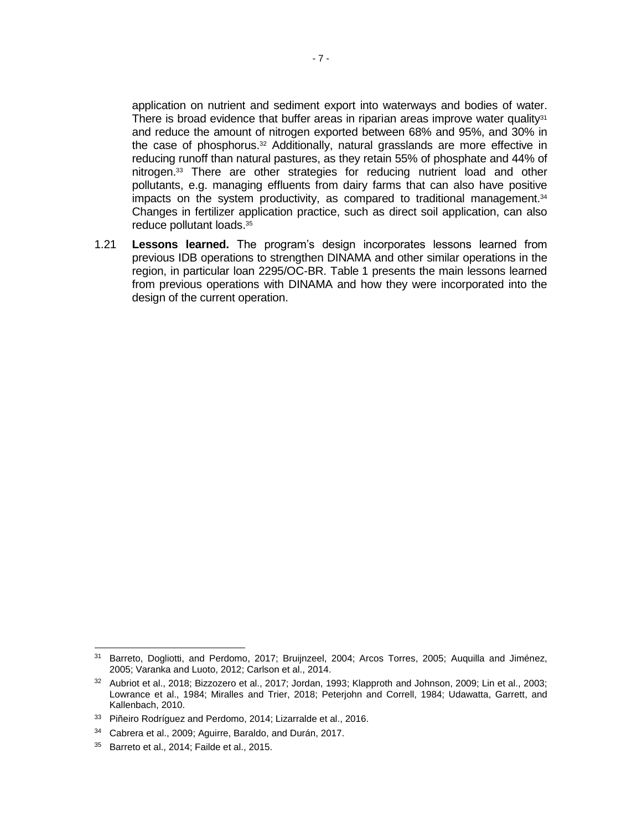application on nutrient and sediment export into waterways and bodies of water. There is broad evidence that buffer areas in riparian areas improve water quality $31$ and reduce the amount of nitrogen exported between 68% and 95%, and 30% in the case of phosphorus. <sup>32</sup> Additionally, natural grasslands are more effective in reducing runoff than natural pastures, as they retain 55% of phosphate and 44% of nitrogen.<sup>33</sup> There are other strategies for reducing nutrient load and other pollutants, e.g. managing effluents from dairy farms that can also have positive impacts on the system productivity, as compared to traditional management.<sup>34</sup> Changes in fertilizer application practice, such as direct soil application, can also reduce pollutant loads. 35

1.21 **Lessons learned.** The program's design incorporates lessons learned from previous IDB operations to strengthen DINAMA and other similar operations in the region, in particular loan 2295/OC-BR. Table 1 presents the main lessons learned from previous operations with DINAMA and how they were incorporated into the design of the current operation.

<sup>&</sup>lt;sup>31</sup> Barreto, Dogliotti, and Perdomo, 2017; Bruijnzeel, 2004; Arcos Torres, 2005; Auquilla and Jiménez, 2005; Varanka and Luoto, 2012; Carlson et al., 2014.

<sup>32</sup> Aubriot et al., 2018; Bizzozero et al., 2017; Jordan, 1993; Klapproth and Johnson, 2009; Lin et al., 2003; Lowrance et al., 1984; Miralles and Trier, 2018; Peterjohn and Correll, 1984; Udawatta, Garrett, and Kallenbach, 2010.

<sup>&</sup>lt;sup>33</sup> Piñeiro Rodríguez and Perdomo, 2014; Lizarralde et al., 2016.

<sup>34</sup> Cabrera et al., 2009; Aguirre, Baraldo, and Durán, 2017.

<sup>&</sup>lt;sup>35</sup> Barreto et al., 2014; Failde et al., 2015.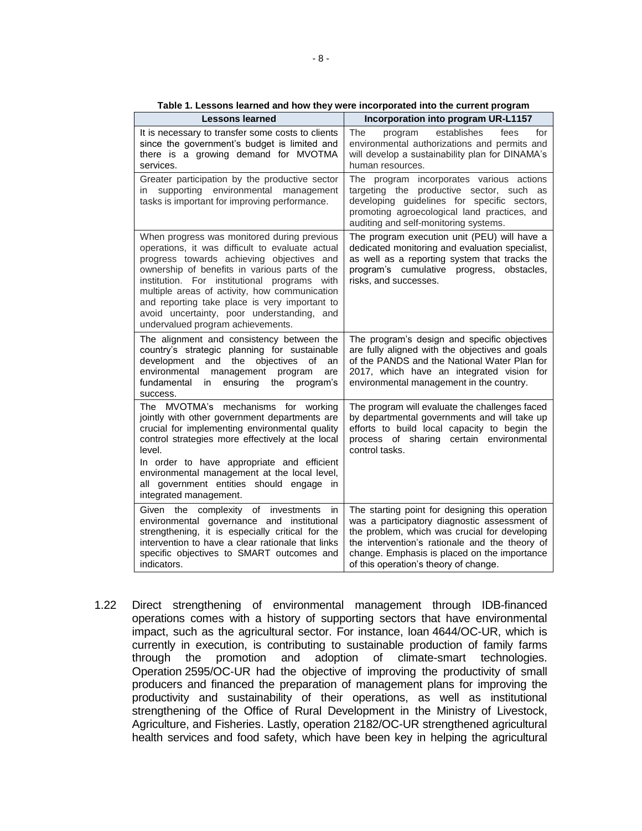| <b>Lessons learned</b>                                                                                                                                                                                                                                                                                                                                                                                                            | Incorporation into program UR-L1157                                                                                                                                                                                                                                                         |
|-----------------------------------------------------------------------------------------------------------------------------------------------------------------------------------------------------------------------------------------------------------------------------------------------------------------------------------------------------------------------------------------------------------------------------------|---------------------------------------------------------------------------------------------------------------------------------------------------------------------------------------------------------------------------------------------------------------------------------------------|
| It is necessary to transfer some costs to clients<br>since the government's budget is limited and<br>there is a growing demand for MVOTMA<br>services.                                                                                                                                                                                                                                                                            | establishes<br>The<br>program<br>fees<br>for<br>environmental authorizations and permits and<br>will develop a sustainability plan for DINAMA's<br>human resources.                                                                                                                         |
| Greater participation by the productive sector<br>supporting environmental management<br>in<br>tasks is important for improving performance.                                                                                                                                                                                                                                                                                      | program incorporates various actions<br>The<br>targeting the productive sector, such as<br>developing guidelines for specific sectors,<br>promoting agroecological land practices, and<br>auditing and self-monitoring systems.                                                             |
| When progress was monitored during previous<br>operations, it was difficult to evaluate actual<br>progress towards achieving objectives and<br>ownership of benefits in various parts of the<br>institution. For institutional programs with<br>multiple areas of activity, how communication<br>and reporting take place is very important to<br>avoid uncertainty, poor understanding, and<br>undervalued program achievements. | The program execution unit (PEU) will have a<br>dedicated monitoring and evaluation specialist,<br>as well as a reporting system that tracks the<br>program's cumulative progress, obstacles,<br>risks, and successes.                                                                      |
| The alignment and consistency between the<br>country's strategic planning for sustainable<br>development<br>and the<br>objectives<br>οf<br>an<br>environmental<br>management program<br>are<br>fundamental in<br>ensuring the program's<br>success.                                                                                                                                                                               | The program's design and specific objectives<br>are fully aligned with the objectives and goals<br>of the PANDS and the National Water Plan for<br>2017, which have an integrated vision for<br>environmental management in the country.                                                    |
| The MVOTMA's mechanisms for working<br>jointly with other government departments are<br>crucial for implementing environmental quality<br>control strategies more effectively at the local<br>level.<br>In order to have appropriate and efficient<br>environmental management at the local level,<br>all government entities should engage in<br>integrated management.                                                          | The program will evaluate the challenges faced<br>by departmental governments and will take up<br>efforts to build local capacity to begin the<br>process of sharing certain environmental<br>control tasks.                                                                                |
| Given the complexity of investments<br>in<br>environmental governance and institutional<br>strengthening, it is especially critical for the<br>intervention to have a clear rationale that links<br>specific objectives to SMART outcomes and<br>indicators.                                                                                                                                                                      | The starting point for designing this operation<br>was a participatory diagnostic assessment of<br>the problem, which was crucial for developing<br>the intervention's rationale and the theory of<br>change. Emphasis is placed on the importance<br>of this operation's theory of change. |

**Table 1. Lessons learned and how they were incorporated into the current program**

1.22 Direct strengthening of environmental management through IDB-financed operations comes with a history of supporting sectors that have environmental impact, such as the agricultural sector. For instance, loan 4644/OC-UR, which is currently in execution, is contributing to sustainable production of family farms through the promotion and adoption of climate-smart technologies. Operation 2595/OC-UR had the objective of improving the productivity of small producers and financed the preparation of management plans for improving the productivity and sustainability of their operations, as well as institutional strengthening of the Office of Rural Development in the Ministry of Livestock, Agriculture, and Fisheries. Lastly, operation 2182/OC-UR strengthened agricultural health services and food safety, which have been key in helping the agricultural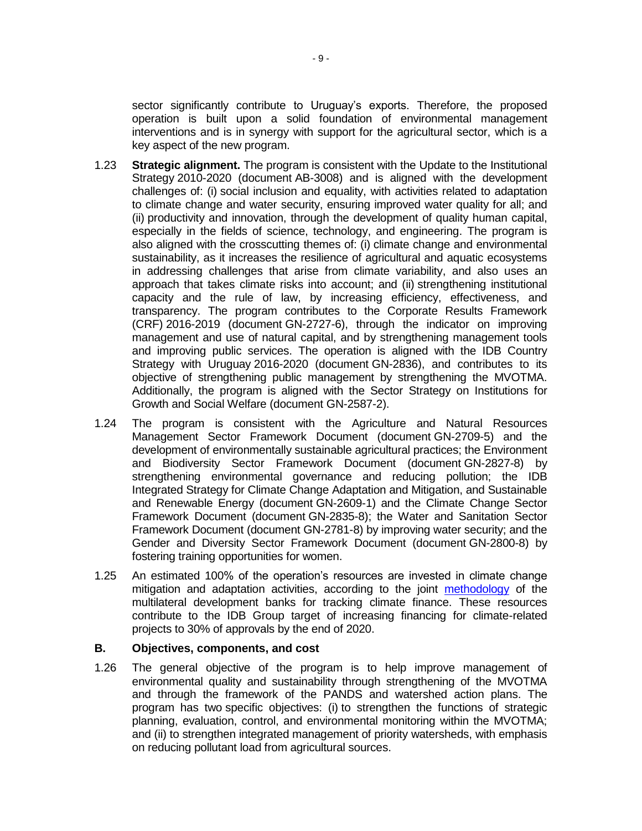sector significantly contribute to Uruguay's exports. Therefore, the proposed operation is built upon a solid foundation of environmental management interventions and is in synergy with support for the agricultural sector, which is a key aspect of the new program.

- 1.23 **Strategic alignment.** The program is consistent with the Update to the Institutional Strategy 2010-2020 (document AB-3008) and is aligned with the development challenges of: (i) social inclusion and equality, with activities related to adaptation to climate change and water security, ensuring improved water quality for all; and (ii) productivity and innovation, through the development of quality human capital, especially in the fields of science, technology, and engineering. The program is also aligned with the crosscutting themes of: (i) climate change and environmental sustainability, as it increases the resilience of agricultural and aquatic ecosystems in addressing challenges that arise from climate variability, and also uses an approach that takes climate risks into account; and (ii) strengthening institutional capacity and the rule of law, by increasing efficiency, effectiveness, and transparency. The program contributes to the Corporate Results Framework (CRF) 2016-2019 (document GN-2727-6), through the indicator on improving management and use of natural capital, and by strengthening management tools and improving public services. The operation is aligned with the IDB Country Strategy with Uruguay 2016-2020 (document GN-2836), and contributes to its objective of strengthening public management by strengthening the MVOTMA. Additionally, the program is aligned with the Sector Strategy on Institutions for Growth and Social Welfare (document GN-2587-2).
- 1.24 The program is consistent with the Agriculture and Natural Resources Management Sector Framework Document (document GN-2709-5) and the development of environmentally sustainable agricultural practices; the Environment and Biodiversity Sector Framework Document (document GN-2827-8) by strengthening environmental governance and reducing pollution; the IDB Integrated Strategy for Climate Change Adaptation and Mitigation, and Sustainable and Renewable Energy (document GN-2609-1) and the Climate Change Sector Framework Document (document GN-2835-8); the Water and Sanitation Sector Framework Document (document GN-2781-8) by improving water security; and the Gender and Diversity Sector Framework Document (document GN-2800-8) by fostering training opportunities for women.
- 1.25 An estimated 100% of the operation's resources are invested in climate change mitigation and adaptation activities, according to the joint [methodology](https://publications.iadb.org/handle/11319/8505) of the multilateral development banks for tracking climate finance. These resources contribute to the IDB Group target of increasing financing for climate-related projects to 30% of approvals by the end of 2020.

### **B. Objectives, components, and cost**

1.26 The general objective of the program is to help improve management of environmental quality and sustainability through strengthening of the MVOTMA and through the framework of the PANDS and watershed action plans. The program has two specific objectives: (i) to strengthen the functions of strategic planning, evaluation, control, and environmental monitoring within the MVOTMA; and (ii) to strengthen integrated management of priority watersheds, with emphasis on reducing pollutant load from agricultural sources.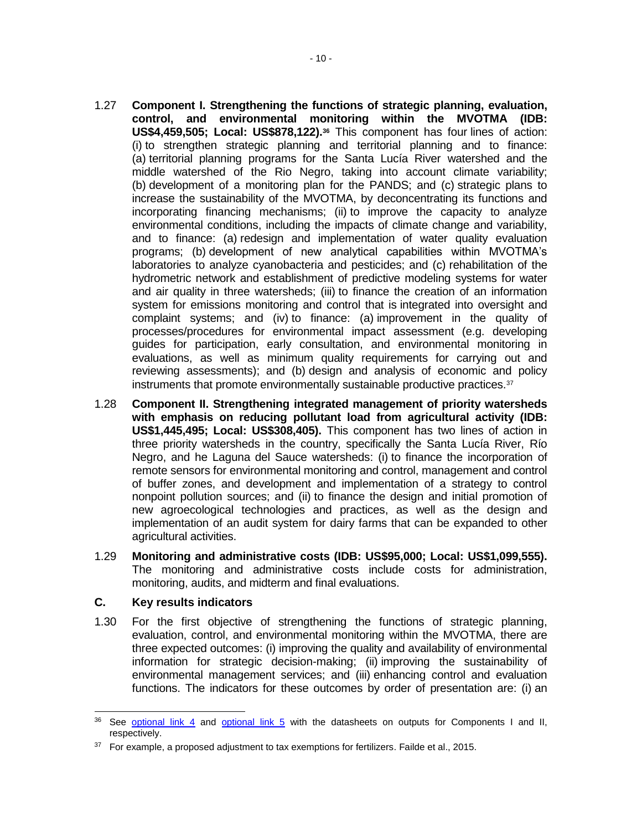- 1.27 **Component I. Strengthening the functions of strategic planning, evaluation, control, and environmental monitoring within the MVOTMA (IDB: US\$4,459,505; Local: US\$878,122).<sup>36</sup>** This component has four lines of action: (i) to strengthen strategic planning and territorial planning and to finance: (a) territorial planning programs for the Santa Lucía River watershed and the middle watershed of the Rio Negro, taking into account climate variability; (b) development of a monitoring plan for the PANDS; and (c) strategic plans to increase the sustainability of the MVOTMA, by deconcentrating its functions and incorporating financing mechanisms; (ii) to improve the capacity to analyze environmental conditions, including the impacts of climate change and variability, and to finance: (a) redesign and implementation of water quality evaluation programs; (b) development of new analytical capabilities within MVOTMA's laboratories to analyze cyanobacteria and pesticides; and (c) rehabilitation of the hydrometric network and establishment of predictive modeling systems for water and air quality in three watersheds; (iii) to finance the creation of an information system for emissions monitoring and control that is integrated into oversight and complaint systems; and (iv) to finance: (a) improvement in the quality of processes/procedures for environmental impact assessment (e.g. developing guides for participation, early consultation, and environmental monitoring in evaluations, as well as minimum quality requirements for carrying out and reviewing assessments); and (b) design and analysis of economic and policy instruments that promote environmentally sustainable productive practices.<sup>37</sup>
- 1.28 **Component II. Strengthening integrated management of priority watersheds with emphasis on reducing pollutant load from agricultural activity (IDB: US\$1,445,495; Local: US\$308,405).** This component has two lines of action in three priority watersheds in the country, specifically the Santa Lucía River, Río Negro, and he Laguna del Sauce watersheds: (i) to finance the incorporation of remote sensors for environmental monitoring and control, management and control of buffer zones, and development and implementation of a strategy to control nonpoint pollution sources; and (ii) to finance the design and initial promotion of new agroecological technologies and practices, as well as the design and implementation of an audit system for dairy farms that can be expanded to other agricultural activities.
- 1.29 **Monitoring and administrative costs (IDB: US\$95,000; Local: US\$1,099,555).**  The monitoring and administrative costs include costs for administration, monitoring, audits, and midterm and final evaluations.

### **C. Key results indicators**

1.30 For the first objective of strengthening the functions of strategic planning, evaluation, control, and environmental monitoring within the MVOTMA, there are three expected outcomes: (i) improving the quality and availability of environmental information for strategic decision-making; (ii) improving the sustainability of environmental management services; and (iii) enhancing control and evaluation functions. The indicators for these outcomes by order of presentation are: (i) an

<sup>&</sup>lt;sup>36</sup> See [optional link 4](http://idbdocs.iadb.org/wsdocs/getDocument.aspx?DOCNUM=EZSHARE-434689127-39) and [optional link 5](http://idbdocs.iadb.org/wsdocs/getDocument.aspx?DOCNUM=EZSHARE-434689127-40) with the datasheets on outputs for Components I and II, respectively.

<sup>&</sup>lt;sup>37</sup> For example, a proposed adjustment to tax exemptions for fertilizers. Failde et al., 2015.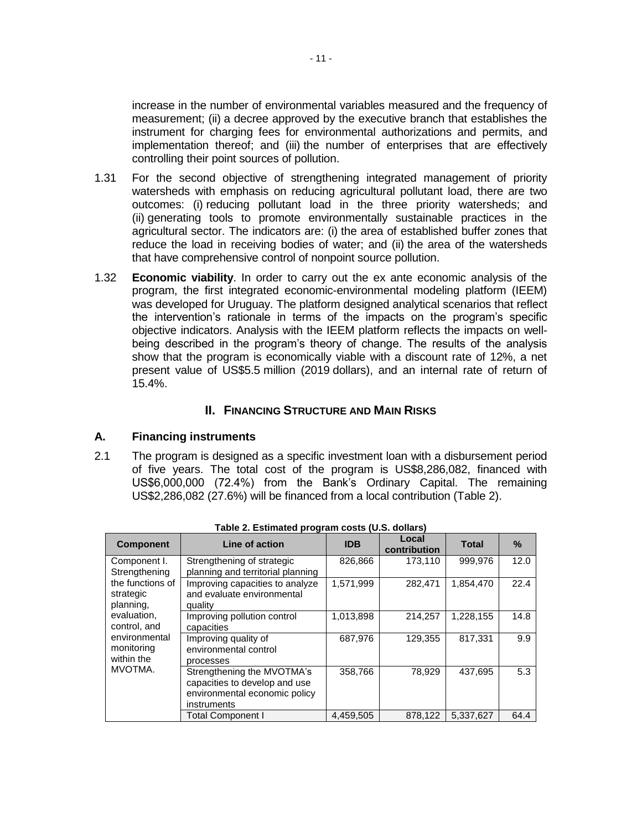increase in the number of environmental variables measured and the frequency of measurement; (ii) a decree approved by the executive branch that establishes the instrument for charging fees for environmental authorizations and permits, and implementation thereof; and (iii) the number of enterprises that are effectively controlling their point sources of pollution.

- 1.31 For the second objective of strengthening integrated management of priority watersheds with emphasis on reducing agricultural pollutant load, there are two outcomes: (i) reducing pollutant load in the three priority watersheds; and (ii) generating tools to promote environmentally sustainable practices in the agricultural sector. The indicators are: (i) the area of established buffer zones that reduce the load in receiving bodies of water; and (ii) the area of the watersheds that have comprehensive control of nonpoint source pollution.
- 1.32 **Economic viability**. In order to carry out the ex ante economic analysis of the program, the first integrated economic-environmental modeling platform (IEEM) was developed for Uruguay. The platform designed analytical scenarios that reflect the intervention's rationale in terms of the impacts on the program's specific objective indicators. Analysis with the IEEM platform reflects the impacts on wellbeing described in the program's theory of change. The results of the analysis show that the program is economically viable with a discount rate of 12%, a net present value of US\$5.5 million (2019 dollars), and an internal rate of return of 15.4%.

## **II. FINANCING STRUCTURE AND MAIN RISKS**

## **A. Financing instruments**

2.1 The program is designed as a specific investment loan with a disbursement period of five years. The total cost of the program is US\$8,286,082, financed with US\$6,000,000 (72.4%) from the Bank's Ordinary Capital. The remaining US\$2,286,082 (27.6%) will be financed from a local contribution (Table 2).

| Table 2. Estimated program costs (0.3. donars) |                                                                                                             |            |                       |              |      |  |  |  |
|------------------------------------------------|-------------------------------------------------------------------------------------------------------------|------------|-----------------------|--------------|------|--|--|--|
| <b>Component</b>                               | Line of action                                                                                              | <b>IDB</b> | Local<br>contribution | <b>Total</b> | $\%$ |  |  |  |
| Component I.<br>Strengthening                  | Strengthening of strategic<br>planning and territorial planning                                             | 826,866    | 173.110               | 999,976      | 12.0 |  |  |  |
| the functions of<br>strategic<br>planning,     | Improving capacities to analyze<br>and evaluate environmental<br>quality                                    | 1,571,999  | 282,471               | 1,854,470    | 22.4 |  |  |  |
| evaluation,<br>control, and                    | Improving pollution control<br>capacities                                                                   | 1,013,898  | 214,257               | 1,228,155    | 14.8 |  |  |  |
| environmental<br>monitoring<br>within the      | Improving quality of<br>environmental control<br>processes                                                  | 687.976    | 129.355               | 817.331      | 9.9  |  |  |  |
| MVOTMA.                                        | Strengthening the MVOTMA's<br>capacities to develop and use<br>environmental economic policy<br>instruments | 358,766    | 78,929                | 437,695      | 5.3  |  |  |  |
|                                                | <b>Total Component I</b>                                                                                    | 4,459,505  | 878.122               | 5,337,627    | 64.4 |  |  |  |

**Table 2. Estimated program costs (U.S. dollars)**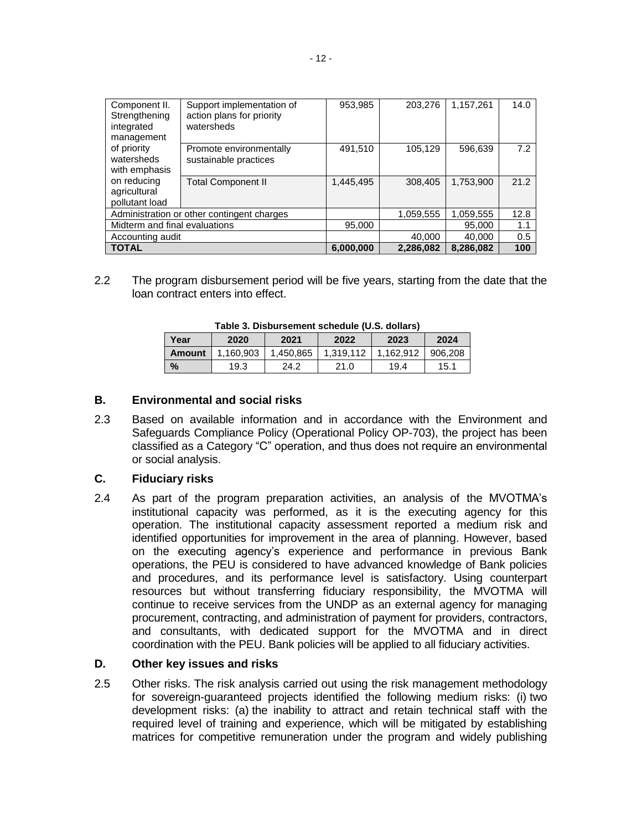| Component II.<br>Strengthening<br>integrated<br>management | Support implementation of<br>action plans for priority<br>watersheds | 953,985   | 203,276   | 1,157,261 | 14.0 |
|------------------------------------------------------------|----------------------------------------------------------------------|-----------|-----------|-----------|------|
| of priority<br>watersheds<br>with emphasis                 | Promote environmentally<br>sustainable practices                     | 491,510   | 105,129   | 596,639   | 7.2  |
| on reducing<br>agricultural<br>pollutant load              | <b>Total Component II</b>                                            | 1,445,495 | 308,405   | 1,753,900 | 21.2 |
|                                                            | Administration or other contingent charges                           |           | 1,059,555 | 1,059,555 | 12.8 |
| Midterm and final evaluations                              |                                                                      | 95,000    |           | 95,000    | 1.1  |
| Accounting audit                                           |                                                                      |           | 40,000    | 40,000    | 0.5  |
| <b>TOTAL</b>                                               |                                                                      | 6,000,000 | 2,286,082 | 8.286.082 | 100  |

2.2 The program disbursement period will be five years, starting from the date that the loan contract enters into effect.

| Table 3. Disbutsement schedule (0.3. dollars) |           |           |           |           |         |  |  |  |  |
|-----------------------------------------------|-----------|-----------|-----------|-----------|---------|--|--|--|--|
| Year                                          | 2020      | 2021      | 2022      | 2023      | 2024    |  |  |  |  |
| Amount                                        | 1.160.903 | 1.450.865 | 1.319.112 | 1.162.912 | 906.208 |  |  |  |  |
| $\frac{9}{6}$                                 | 19.3      | 24.2      | 21.0      | 19.4      | 15.1    |  |  |  |  |

**Table 3. Disbursement schedule (U.S. dollars)**

## **B. Environmental and social risks**

2.3 Based on available information and in accordance with the Environment and Safeguards Compliance Policy (Operational Policy OP-703), the project has been classified as a Category "C" operation, and thus does not require an environmental or social analysis.

## **C. Fiduciary risks**

2.4 As part of the program preparation activities, an analysis of the MVOTMA's institutional capacity was performed, as it is the executing agency for this operation. The institutional capacity assessment reported a medium risk and identified opportunities for improvement in the area of planning. However, based on the executing agency's experience and performance in previous Bank operations, the PEU is considered to have advanced knowledge of Bank policies and procedures, and its performance level is satisfactory. Using counterpart resources but without transferring fiduciary responsibility, the MVOTMA will continue to receive services from the UNDP as an external agency for managing procurement, contracting, and administration of payment for providers, contractors, and consultants, with dedicated support for the MVOTMA and in direct coordination with the PEU. Bank policies will be applied to all fiduciary activities.

## **D. Other key issues and risks**

2.5 Other risks. The risk analysis carried out using the risk management methodology for sovereign-guaranteed projects identified the following medium risks: (i) two development risks: (a) the inability to attract and retain technical staff with the required level of training and experience, which will be mitigated by establishing matrices for competitive remuneration under the program and widely publishing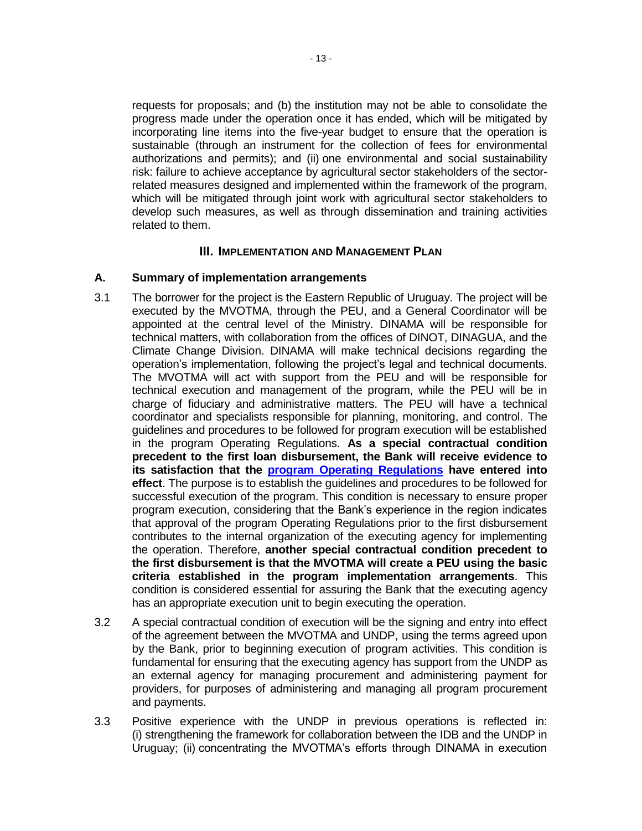requests for proposals; and (b) the institution may not be able to consolidate the progress made under the operation once it has ended, which will be mitigated by incorporating line items into the five-year budget to ensure that the operation is sustainable (through an instrument for the collection of fees for environmental authorizations and permits); and (ii) one environmental and social sustainability risk: failure to achieve acceptance by agricultural sector stakeholders of the sectorrelated measures designed and implemented within the framework of the program, which will be mitigated through joint work with agricultural sector stakeholders to develop such measures, as well as through dissemination and training activities related to them.

## **III. IMPLEMENTATION AND MANAGEMENT PLAN**

### **A. Summary of implementation arrangements**

- 3.1 The borrower for the project is the Eastern Republic of Uruguay. The project will be executed by the MVOTMA, through the PEU, and a General Coordinator will be appointed at the central level of the Ministry. DINAMA will be responsible for technical matters, with collaboration from the offices of DINOT, DINAGUA, and the Climate Change Division. DINAMA will make technical decisions regarding the operation's implementation, following the project's legal and technical documents. The MVOTMA will act with support from the PEU and will be responsible for technical execution and management of the program, while the PEU will be in charge of fiduciary and administrative matters. The PEU will have a technical coordinator and specialists responsible for planning, monitoring, and control. The guidelines and procedures to be followed for program execution will be established in the program Operating Regulations. **As a special contractual condition precedent to the first loan disbursement, the Bank will receive evidence to its satisfaction that the [program Operating Regulations](http://idbdocs.iadb.org/wsdocs/getDocument.aspx?DOCNUM=EZSHARE-434689127-48) have entered into effect**. The purpose is to establish the guidelines and procedures to be followed for successful execution of the program. This condition is necessary to ensure proper program execution, considering that the Bank's experience in the region indicates that approval of the program Operating Regulations prior to the first disbursement contributes to the internal organization of the executing agency for implementing the operation. Therefore, **another special contractual condition precedent to the first disbursement is that the MVOTMA will create a PEU using the basic criteria established in the program implementation arrangements**. This condition is considered essential for assuring the Bank that the executing agency has an appropriate execution unit to begin executing the operation.
- 3.2 A special contractual condition of execution will be the signing and entry into effect of the agreement between the MVOTMA and UNDP, using the terms agreed upon by the Bank, prior to beginning execution of program activities. This condition is fundamental for ensuring that the executing agency has support from the UNDP as an external agency for managing procurement and administering payment for providers, for purposes of administering and managing all program procurement and payments.
- 3.3 Positive experience with the UNDP in previous operations is reflected in: (i) strengthening the framework for collaboration between the IDB and the UNDP in Uruguay; (ii) concentrating the MVOTMA's efforts through DINAMA in execution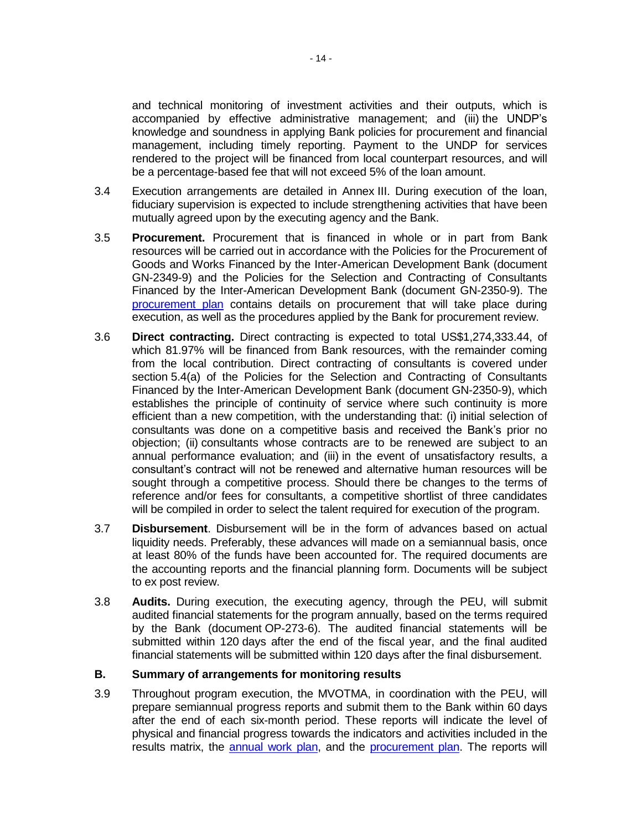and technical monitoring of investment activities and their outputs, which is accompanied by effective administrative management; and (iii) the UNDP's knowledge and soundness in applying Bank policies for procurement and financial management, including timely reporting. Payment to the UNDP for services rendered to the project will be financed from local counterpart resources, and will be a percentage-based fee that will not exceed 5% of the loan amount.

- 3.4 Execution arrangements are detailed in Annex III. During execution of the loan, fiduciary supervision is expected to include strengthening activities that have been mutually agreed upon by the executing agency and the Bank.
- 3.5 **Procurement.** Procurement that is financed in whole or in part from Bank resources will be carried out in accordance with the Policies for the Procurement of Goods and Works Financed by the Inter-American Development Bank (document GN-2349-9) and the Policies for the Selection and Contracting of Consultants Financed by the Inter-American Development Bank (document GN-2350-9). The [procurement plan](http://idbdocs.iadb.org/wsdocs/getDocument.aspx?DOCNUM=EZSHARE-434689127-26) contains details on procurement that will take place during execution, as well as the procedures applied by the Bank for procurement review.
- 3.6 **Direct contracting.** Direct contracting is expected to total US\$1,274,333.44, of which 81.97% will be financed from Bank resources, with the remainder coming from the local contribution. Direct contracting of consultants is covered under section 5.4(a) of the Policies for the Selection and Contracting of Consultants Financed by the Inter-American Development Bank (document GN-2350-9), which establishes the principle of continuity of service where such continuity is more efficient than a new competition, with the understanding that: (i) initial selection of consultants was done on a competitive basis and received the Bank's prior no objection; (ii) consultants whose contracts are to be renewed are subject to an annual performance evaluation; and (iii) in the event of unsatisfactory results, a consultant's contract will not be renewed and alternative human resources will be sought through a competitive process. Should there be changes to the terms of reference and/or fees for consultants, a competitive shortlist of three candidates will be compiled in order to select the talent required for execution of the program.
- 3.7 **Disbursement**. Disbursement will be in the form of advances based on actual liquidity needs. Preferably, these advances will made on a semiannual basis, once at least 80% of the funds have been accounted for. The required documents are the accounting reports and the financial planning form. Documents will be subject to ex post review.
- 3.8 **Audits.** During execution, the executing agency, through the PEU, will submit audited financial statements for the program annually, based on the terms required by the Bank (document OP-273-6). The audited financial statements will be submitted within 120 days after the end of the fiscal year, and the final audited financial statements will be submitted within 120 days after the final disbursement.

### **B. Summary of arrangements for monitoring results**

3.9 Throughout program execution, the MVOTMA, in coordination with the PEU, will prepare semiannual progress reports and submit them to the Bank within 60 days after the end of each six-month period. These reports will indicate the level of physical and financial progress towards the indicators and activities included in the results matrix, the [annual work](http://idbdocs.iadb.org/wsdocs/getDocument.aspx?DOCNUM=EZSHARE-434689127-27) plan, and the [procurement plan.](http://idbdocs.iadb.org/wsdocs/getDocument.aspx?DOCNUM=EZSHARE-434689127-26) The reports will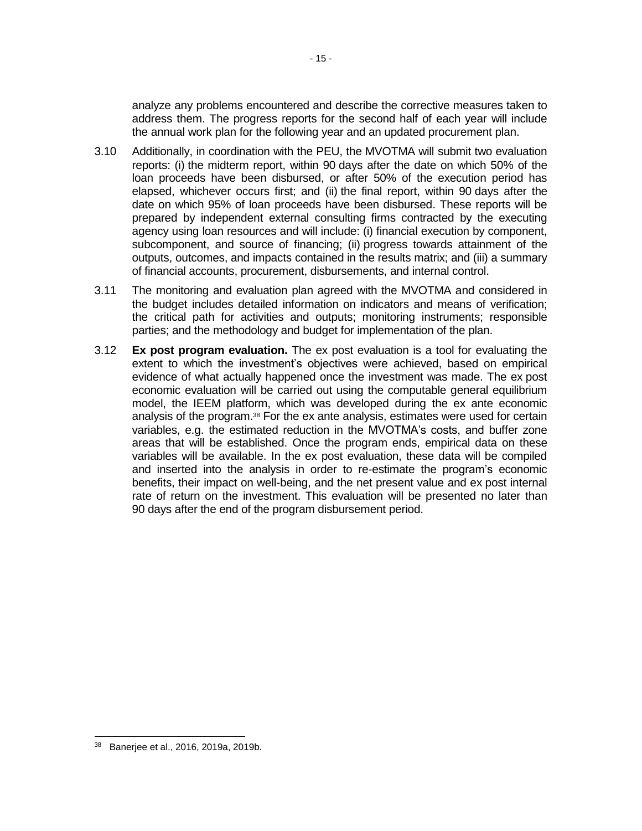analyze any problems encountered and describe the corrective measures taken to address them. The progress reports for the second half of each year will include the annual work plan for the following year and an updated procurement plan.

- 3.10 Additionally, in coordination with the PEU, the MVOTMA will submit two evaluation reports: (i) the midterm report, within 90 days after the date on which 50% of the loan proceeds have been disbursed, or after 50% of the execution period has elapsed, whichever occurs first; and (ii) the final report, within 90 days after the date on which 95% of loan proceeds have been disbursed. These reports will be prepared by independent external consulting firms contracted by the executing agency using loan resources and will include: (i) financial execution by component, subcomponent, and source of financing; (ii) progress towards attainment of the outputs, outcomes, and impacts contained in the results matrix; and (iii) a summary of financial accounts, procurement, disbursements, and internal control.
- 3.11 The monitoring and evaluation plan agreed with the MVOTMA and considered in the budget includes detailed information on indicators and means of verification; the critical path for activities and outputs; monitoring instruments; responsible parties; and the methodology and budget for implementation of the plan.
- 3.12 **Ex post program evaluation.** The ex post evaluation is a tool for evaluating the extent to which the investment's objectives were achieved, based on empirical evidence of what actually happened once the investment was made. The ex post economic evaluation will be carried out using the computable general equilibrium model, the IEEM platform, which was developed during the ex ante economic analysis of the program.<sup>38</sup> For the ex ante analysis, estimates were used for certain variables, e.g. the estimated reduction in the MVOTMA's costs, and buffer zone areas that will be established. Once the program ends, empirical data on these variables will be available. In the ex post evaluation, these data will be compiled and inserted into the analysis in order to re-estimate the program's economic benefits, their impact on well-being, and the net present value and ex post internal rate of return on the investment. This evaluation will be presented no later than 90 days after the end of the program disbursement period.

<sup>38</sup> Banerjee et al., 2016, 2019a, 2019b.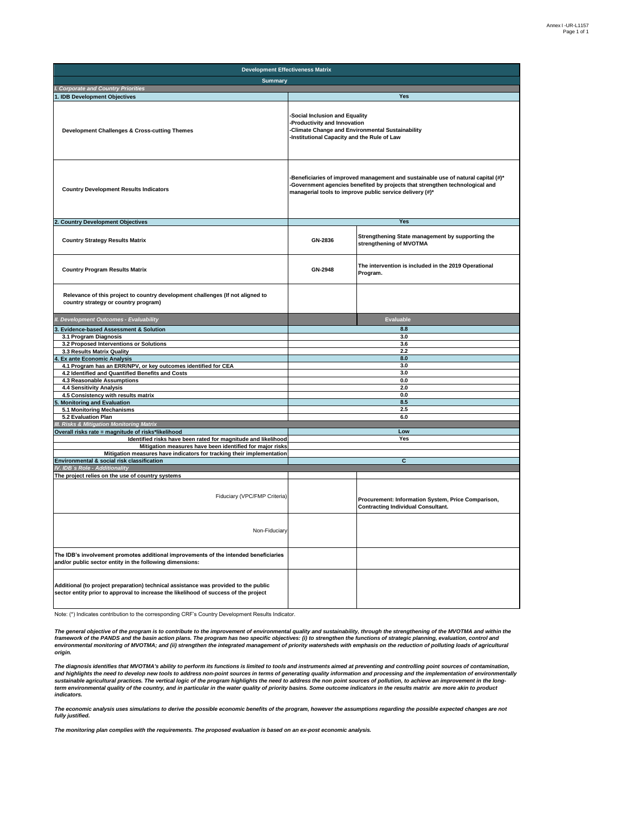| <b>Development Effectiveness Matrix</b>                                                                                                                                     |                                                                                                                                                                                                                             |                                                                                                 |  |  |  |  |
|-----------------------------------------------------------------------------------------------------------------------------------------------------------------------------|-----------------------------------------------------------------------------------------------------------------------------------------------------------------------------------------------------------------------------|-------------------------------------------------------------------------------------------------|--|--|--|--|
| <b>Summary</b>                                                                                                                                                              |                                                                                                                                                                                                                             |                                                                                                 |  |  |  |  |
| I. Corporate and Country Priorities                                                                                                                                         |                                                                                                                                                                                                                             |                                                                                                 |  |  |  |  |
| 1. IDB Development Objectives                                                                                                                                               |                                                                                                                                                                                                                             | Yes                                                                                             |  |  |  |  |
| Development Challenges & Cross-cutting Themes                                                                                                                               | Social Inclusion and Equality<br>Productivity and Innovation<br>Climate Change and Environmental Sustainability<br>Institutional Capacity and the Rule of Law                                                               |                                                                                                 |  |  |  |  |
| <b>Country Development Results Indicators</b>                                                                                                                               | Beneficiaries of improved management and sustainable use of natural capital (#)*<br>Government agencies benefited by projects that strengthen technological and<br>managerial tools to improve public service delivery (#)* |                                                                                                 |  |  |  |  |
| 2. Country Development Objectives                                                                                                                                           |                                                                                                                                                                                                                             | Yes                                                                                             |  |  |  |  |
| <b>Country Strategy Results Matrix</b>                                                                                                                                      | GN-2836                                                                                                                                                                                                                     | Strengthening State management by supporting the<br>strengthening of MVOTMA                     |  |  |  |  |
| <b>Country Program Results Matrix</b>                                                                                                                                       | GN-2948                                                                                                                                                                                                                     | The intervention is included in the 2019 Operational<br>Program.                                |  |  |  |  |
| Relevance of this project to country development challenges (If not aligned to<br>country strategy or country program)                                                      |                                                                                                                                                                                                                             |                                                                                                 |  |  |  |  |
| II. Development Outcomes - Evaluability                                                                                                                                     |                                                                                                                                                                                                                             | Evaluable                                                                                       |  |  |  |  |
| <b>Evidence-based Assessment &amp; Solution</b>                                                                                                                             |                                                                                                                                                                                                                             | 8.8                                                                                             |  |  |  |  |
| 3.1 Program Diagnosis                                                                                                                                                       |                                                                                                                                                                                                                             | 3.0                                                                                             |  |  |  |  |
| 3.2 Proposed Interventions or Solutions                                                                                                                                     |                                                                                                                                                                                                                             | 3.6<br>2.2                                                                                      |  |  |  |  |
| 3.3 Results Matrix Quality<br><b>Ex ante Economic Analysis</b>                                                                                                              |                                                                                                                                                                                                                             | 8.0                                                                                             |  |  |  |  |
| 4.1 Program has an ERR/NPV, or key outcomes identified for CEA                                                                                                              |                                                                                                                                                                                                                             | 3.0                                                                                             |  |  |  |  |
| 4.2 Identified and Quantified Benefits and Costs                                                                                                                            |                                                                                                                                                                                                                             | 3.0                                                                                             |  |  |  |  |
| 4.3 Reasonable Assumptions                                                                                                                                                  |                                                                                                                                                                                                                             | 0.0                                                                                             |  |  |  |  |
| 4.4 Sensitivity Analysis                                                                                                                                                    |                                                                                                                                                                                                                             | 2.0                                                                                             |  |  |  |  |
| 4.5 Consistency with results matrix<br><b>Monitoring and Evaluation</b>                                                                                                     |                                                                                                                                                                                                                             | 0.0<br>8.5                                                                                      |  |  |  |  |
| 5.1 Monitoring Mechanisms                                                                                                                                                   |                                                                                                                                                                                                                             | 2.5                                                                                             |  |  |  |  |
| 5.2 Evaluation Plan                                                                                                                                                         |                                                                                                                                                                                                                             | 6.0                                                                                             |  |  |  |  |
| III. Risks & Mitigation Monitoring Matrix                                                                                                                                   |                                                                                                                                                                                                                             |                                                                                                 |  |  |  |  |
| Overall risks rate = magnitude of risks*likelihood                                                                                                                          |                                                                                                                                                                                                                             | Low                                                                                             |  |  |  |  |
| Identified risks have been rated for magnitude and likelihood                                                                                                               |                                                                                                                                                                                                                             | Yes                                                                                             |  |  |  |  |
| Mitigation measures have been identified for major risks<br>Mitigation measures have indicators for tracking their implementation                                           |                                                                                                                                                                                                                             |                                                                                                 |  |  |  |  |
| Environmental & social risk classification                                                                                                                                  |                                                                                                                                                                                                                             | $\overline{c}$                                                                                  |  |  |  |  |
| IV. IDB's Role - Additionality                                                                                                                                              |                                                                                                                                                                                                                             |                                                                                                 |  |  |  |  |
| The project relies on the use of country systems                                                                                                                            |                                                                                                                                                                                                                             |                                                                                                 |  |  |  |  |
| Fiduciary (VPC/FMP Criteria)                                                                                                                                                |                                                                                                                                                                                                                             | Procurement: Information System, Price Comparison,<br><b>Contracting Individual Consultant.</b> |  |  |  |  |
| Non-Fiduciary                                                                                                                                                               |                                                                                                                                                                                                                             |                                                                                                 |  |  |  |  |
| The IDB's involvement promotes additional improvements of the intended beneficiaries<br>and/or public sector entity in the following dimensions:                            |                                                                                                                                                                                                                             |                                                                                                 |  |  |  |  |
| Additional (to project preparation) technical assistance was provided to the public<br>sector entity prior to approval to increase the likelihood of success of the project |                                                                                                                                                                                                                             |                                                                                                 |  |  |  |  |

Note: (\*) Indicates contribution to the corresponding CRF's Country Development Results Indicator.

*The general objective of the program is to contribute to the improvement of environmental quality and sustainability, through the strengthening of the MVOTMA and within the*  framework of the PANDS and the basin action plans. The program has two specific objectives: (i) to strengthen the functions of strategic planning, evaluation, control and<br>environmental monitoring of MVOTMA; and (ii) streng *origin.*

The diagnosis identifies that MVOTMA's ability to perform its functions is limited to tools and instruments aimed at preventing and controlling point sources of contamination,<br>sustainable agricultural practices. The vertic *indicators.*

*The economic analysis uses simulations to derive the possible economic benefits of the program, however the assumptions regarding the possible expected changes are not fully justified.*

*The monitoring plan complies with the requirements. The proposed evaluation is based on an ex-post economic analysis.*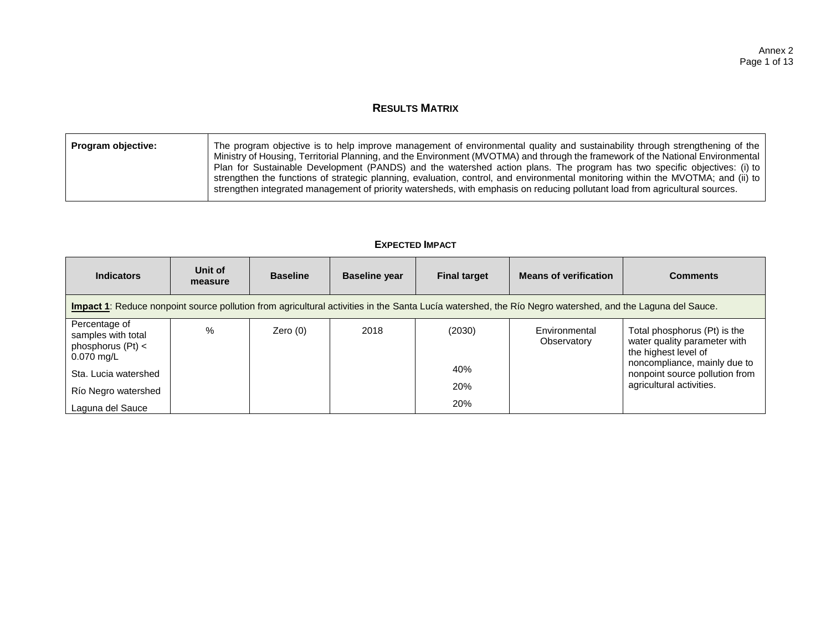## **RESULTS MATRIX**

| Program objective: | The program objective is to help improve management of environmental quality and sustainability through strengthening of the<br>Ministry of Housing, Territorial Planning, and the Environment (MVOTMA) and through the framework of the National Environmental<br>Plan for Sustainable Development (PANDS) and the watershed action plans. The program has two specific objectives: (i) to<br>strengthen the functions of strategic planning, evaluation, control, and environmental monitoring within the MVOTMA; and (ii) to |
|--------------------|---------------------------------------------------------------------------------------------------------------------------------------------------------------------------------------------------------------------------------------------------------------------------------------------------------------------------------------------------------------------------------------------------------------------------------------------------------------------------------------------------------------------------------|
|                    | strengthen integrated management of priority watersheds, with emphasis on reducing pollutant load from agricultural sources.                                                                                                                                                                                                                                                                                                                                                                                                    |

### **EXPECTED IMPACT**

| <b>Indicators</b>                                                                                                                                        | Unit of<br>measure | <b>Baseline</b> | <b>Baseline year</b> | <b>Final target</b> | <b>Means of verification</b> | <b>Comments</b>                                                                      |  |  |
|----------------------------------------------------------------------------------------------------------------------------------------------------------|--------------------|-----------------|----------------------|---------------------|------------------------------|--------------------------------------------------------------------------------------|--|--|
| Impact 1: Reduce nonpoint source pollution from agricultural activities in the Santa Lucía watershed, the Río Negro watershed, and the Laguna del Sauce. |                    |                 |                      |                     |                              |                                                                                      |  |  |
| Percentage of<br>samples with total<br>phosphorus $(Pt) <$<br>$0.070$ mg/L                                                                               | $\%$               | Zero $(0)$      | 2018                 | (2030)              | Environmental<br>Observatory | Total phosphorus (Pt) is the<br>water quality parameter with<br>the highest level of |  |  |
| Sta. Lucia watershed                                                                                                                                     |                    |                 |                      | 40%                 |                              | noncompliance, mainly due to<br>nonpoint source pollution from                       |  |  |
| Río Negro watershed                                                                                                                                      |                    |                 |                      | 20%                 |                              | agricultural activities.                                                             |  |  |
| Laguna del Sauce                                                                                                                                         |                    |                 |                      | 20%                 |                              |                                                                                      |  |  |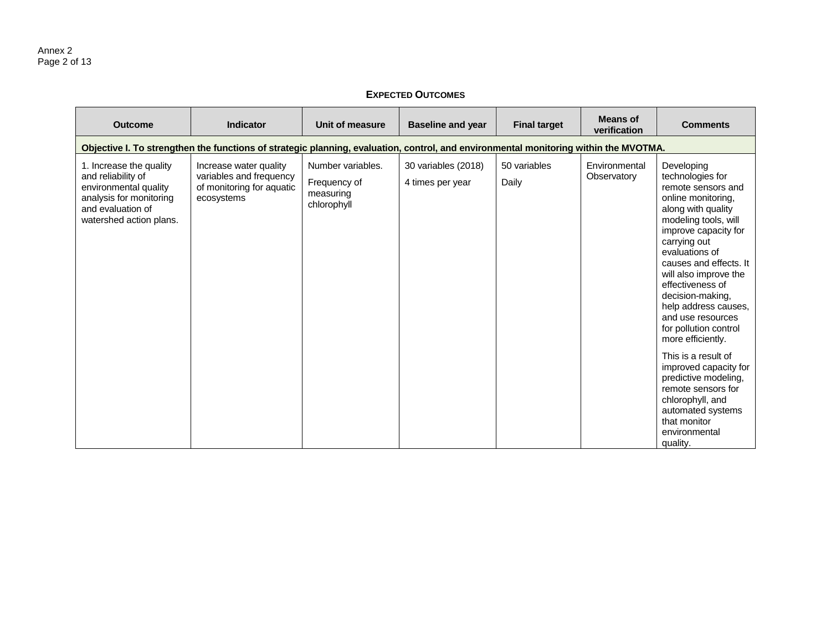### **EXPECTED OUTCOMES**

| <b>Outcome</b>                                                                                                                                    | <b>Indicator</b>                                                                             | Unit of measure                                               | <b>Baseline and year</b>                | <b>Final target</b>   | <b>Means of</b><br>verification | <b>Comments</b>                                                                                                                                                                                                                                                                                                                                                          |  |  |  |  |
|---------------------------------------------------------------------------------------------------------------------------------------------------|----------------------------------------------------------------------------------------------|---------------------------------------------------------------|-----------------------------------------|-----------------------|---------------------------------|--------------------------------------------------------------------------------------------------------------------------------------------------------------------------------------------------------------------------------------------------------------------------------------------------------------------------------------------------------------------------|--|--|--|--|
| Objective I. To strengthen the functions of strategic planning, evaluation, control, and environmental monitoring within the MVOTMA.              |                                                                                              |                                                               |                                         |                       |                                 |                                                                                                                                                                                                                                                                                                                                                                          |  |  |  |  |
| 1. Increase the quality<br>and reliability of<br>environmental quality<br>analysis for monitoring<br>and evaluation of<br>watershed action plans. | Increase water quality<br>variables and frequency<br>of monitoring for aquatic<br>ecosystems | Number variables.<br>Frequency of<br>measuring<br>chlorophyll | 30 variables (2018)<br>4 times per year | 50 variables<br>Daily | Environmental<br>Observatory    | Developing<br>technologies for<br>remote sensors and<br>online monitoring,<br>along with quality<br>modeling tools, will<br>improve capacity for<br>carrying out<br>evaluations of<br>causes and effects. It<br>will also improve the<br>effectiveness of<br>decision-making,<br>help address causes,<br>and use resources<br>for pollution control<br>more efficiently. |  |  |  |  |
|                                                                                                                                                   |                                                                                              |                                                               |                                         |                       |                                 | This is a result of<br>improved capacity for<br>predictive modeling,<br>remote sensors for<br>chlorophyll, and<br>automated systems<br>that monitor<br>environmental<br>quality.                                                                                                                                                                                         |  |  |  |  |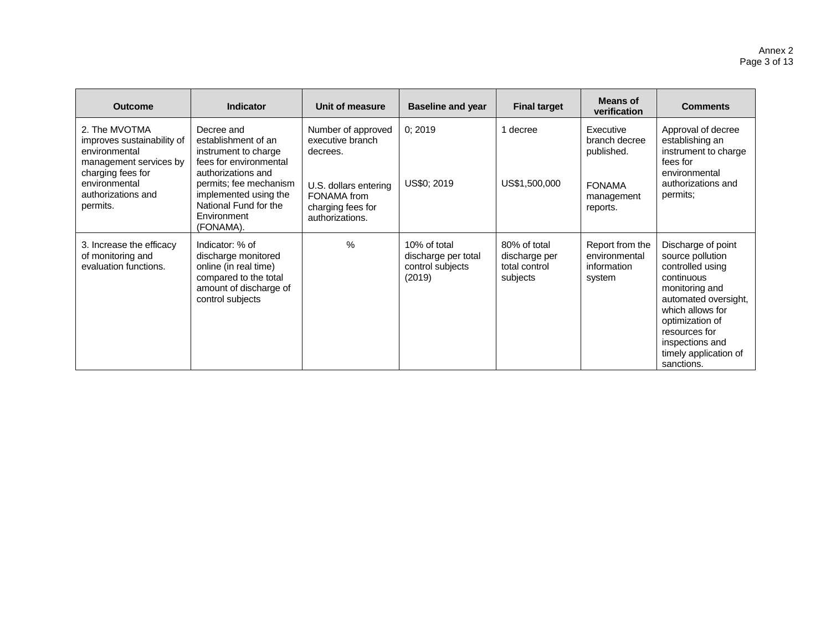| <b>Outcome</b>                                                                                              | <b>Indicator</b>                                                                                                                       | Unit of measure                                                              | <b>Baseline and year</b>                                          | <b>Final target</b>                                        | Means of<br>verification                                  | <b>Comments</b>                                                                                                                                                                                                                      |
|-------------------------------------------------------------------------------------------------------------|----------------------------------------------------------------------------------------------------------------------------------------|------------------------------------------------------------------------------|-------------------------------------------------------------------|------------------------------------------------------------|-----------------------------------------------------------|--------------------------------------------------------------------------------------------------------------------------------------------------------------------------------------------------------------------------------------|
| 2. The MVOTMA<br>improves sustainability of<br>environmental<br>management services by<br>charging fees for | Decree and<br>establishment of an<br>instrument to charge<br>fees for environmental<br>authorizations and                              | Number of approved<br>executive branch<br>decrees.                           | 0;2019                                                            | 1 decree                                                   | Executive<br>branch decree<br>published.                  | Approval of decree<br>establishing an<br>instrument to charge<br>fees for<br>environmental                                                                                                                                           |
| environmental<br>authorizations and<br>permits.                                                             | permits; fee mechanism<br>implemented using the<br>National Fund for the<br>Environment<br>(FONAMA).                                   | U.S. dollars entering<br>FONAMA from<br>charging fees for<br>authorizations. | US\$0; 2019                                                       | US\$1,500,000                                              | <b>FONAMA</b><br>management<br>reports.                   | authorizations and<br>permits;                                                                                                                                                                                                       |
| 3. Increase the efficacy<br>of monitoring and<br>evaluation functions.                                      | Indicator: % of<br>discharge monitored<br>online (in real time)<br>compared to the total<br>amount of discharge of<br>control subjects | $\%$                                                                         | 10% of total<br>discharge per total<br>control subjects<br>(2019) | 80% of total<br>discharge per<br>total control<br>subjects | Report from the<br>environmental<br>information<br>system | Discharge of point<br>source pollution<br>controlled using<br>continuous<br>monitoring and<br>automated oversight,<br>which allows for<br>optimization of<br>resources for<br>inspections and<br>timely application of<br>sanctions. |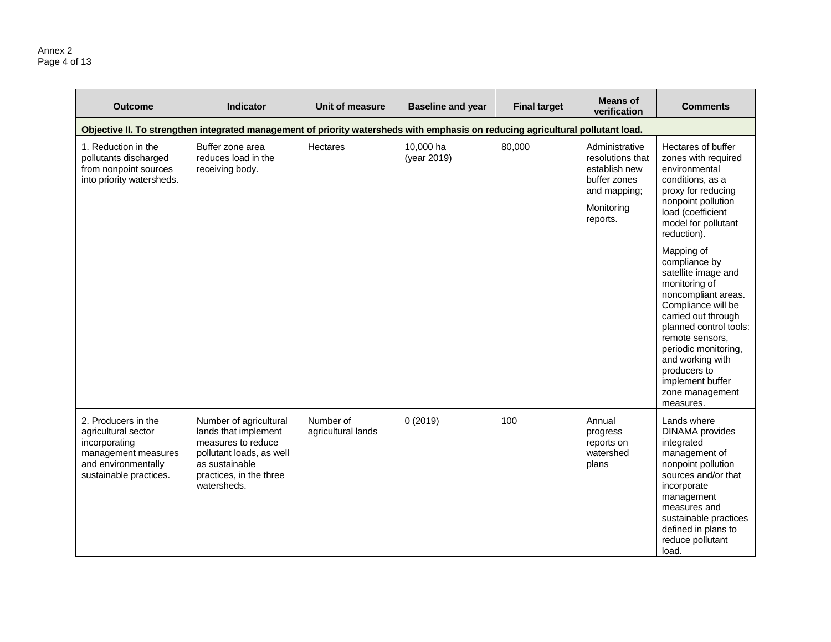#### Annex 2 Page 4 of 13

| <b>Outcome</b>                                                                                                                      | <b>Indicator</b>                                                                                                                                             | Unit of measure                 | <b>Baseline and year</b> | <b>Final target</b> | <b>Means of</b><br>verification                                                                               | <b>Comments</b>                                                                                                                                                                                                                                                                                      |
|-------------------------------------------------------------------------------------------------------------------------------------|--------------------------------------------------------------------------------------------------------------------------------------------------------------|---------------------------------|--------------------------|---------------------|---------------------------------------------------------------------------------------------------------------|------------------------------------------------------------------------------------------------------------------------------------------------------------------------------------------------------------------------------------------------------------------------------------------------------|
|                                                                                                                                     | Objective II. To strengthen integrated management of priority watersheds with emphasis on reducing agricultural pollutant load.                              |                                 |                          |                     |                                                                                                               |                                                                                                                                                                                                                                                                                                      |
| 1. Reduction in the<br>pollutants discharged<br>from nonpoint sources<br>into priority watersheds.                                  | Buffer zone area<br>reduces load in the<br>receiving body.                                                                                                   | <b>Hectares</b>                 | 10,000 ha<br>(year 2019) | 80,000              | Administrative<br>resolutions that<br>establish new<br>buffer zones<br>and mapping;<br>Monitoring<br>reports. | Hectares of buffer<br>zones with required<br>environmental<br>conditions, as a<br>proxy for reducing<br>nonpoint pollution<br>load (coefficient<br>model for pollutant<br>reduction).                                                                                                                |
|                                                                                                                                     |                                                                                                                                                              |                                 |                          |                     |                                                                                                               | Mapping of<br>compliance by<br>satellite image and<br>monitoring of<br>noncompliant areas.<br>Compliance will be<br>carried out through<br>planned control tools:<br>remote sensors,<br>periodic monitoring,<br>and working with<br>producers to<br>implement buffer<br>zone management<br>measures. |
| 2. Producers in the<br>agricultural sector<br>incorporating<br>management measures<br>and environmentally<br>sustainable practices. | Number of agricultural<br>lands that implement<br>measures to reduce<br>pollutant loads, as well<br>as sustainable<br>practices, in the three<br>watersheds. | Number of<br>agricultural lands | 0(2019)                  | 100                 | Annual<br>progress<br>reports on<br>watershed<br>plans                                                        | Lands where<br><b>DINAMA</b> provides<br>integrated<br>management of<br>nonpoint pollution<br>sources and/or that<br>incorporate<br>management<br>measures and<br>sustainable practices<br>defined in plans to<br>reduce pollutant<br>load.                                                          |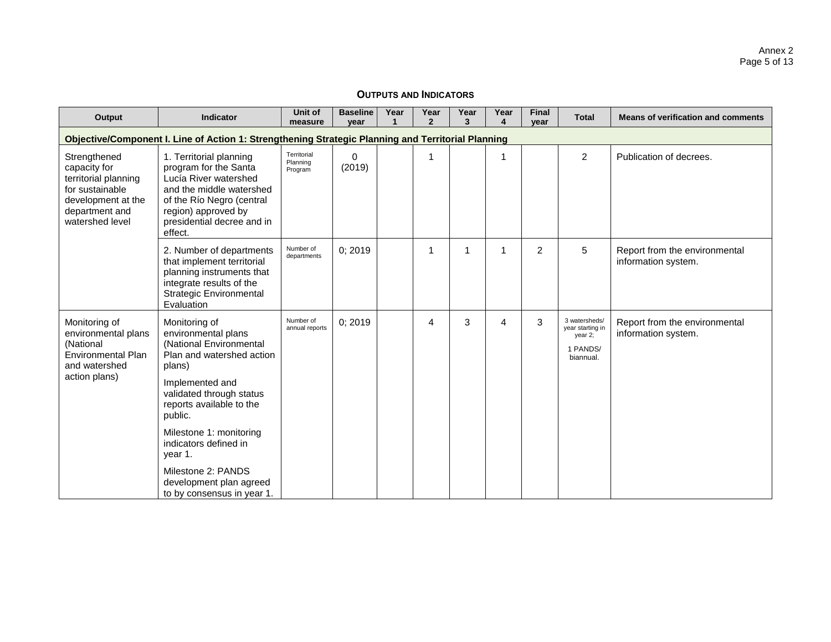| Output                                                                                                                             | <b>Indicator</b>                                                                                                                                                                                                        | Unit of<br>measure                 | <b>Baseline</b><br>year | Year | Year<br>$\overline{2}$ | Year<br>3 | Year<br>4 | <b>Final</b><br>vear | <b>Total</b>                                                          | <b>Means of verification and comments</b>            |
|------------------------------------------------------------------------------------------------------------------------------------|-------------------------------------------------------------------------------------------------------------------------------------------------------------------------------------------------------------------------|------------------------------------|-------------------------|------|------------------------|-----------|-----------|----------------------|-----------------------------------------------------------------------|------------------------------------------------------|
|                                                                                                                                    | Objective/Component I. Line of Action 1: Strengthening Strategic Planning and Territorial Planning                                                                                                                      |                                    |                         |      |                        |           |           |                      |                                                                       |                                                      |
| Strengthened<br>capacity for<br>territorial planning<br>for sustainable<br>development at the<br>department and<br>watershed level | 1. Territorial planning<br>program for the Santa<br>Lucía River watershed<br>and the middle watershed<br>of the Río Negro (central<br>region) approved by<br>presidential decree and in<br>effect.                      | Territorial<br>Planning<br>Program | $\Omega$<br>(2019)      |      | 1                      |           | 1         |                      | $\overline{2}$                                                        | Publication of decrees.                              |
|                                                                                                                                    | 2. Number of departments<br>that implement territorial<br>planning instruments that<br>integrate results of the<br>Strategic Environmental<br>Evaluation                                                                | Number of<br>departments           | 0; 2019                 |      | 1                      | 1         | 1         | 2                    | 5                                                                     | Report from the environmental<br>information system. |
| Monitoring of<br>environmental plans<br>(National<br><b>Environmental Plan</b><br>and watershed<br>action plans)                   | Monitoring of<br>environmental plans<br>(National Environmental<br>Plan and watershed action<br>plans)<br>Implemented and<br>validated through status<br>reports available to the<br>public.<br>Milestone 1: monitoring | Number of<br>annual reports        | 0; 2019                 |      | 4                      | 3         | 4         | 3                    | 3 watersheds/<br>year starting in<br>year 2;<br>1 PANDS/<br>biannual. | Report from the environmental<br>information system. |
|                                                                                                                                    | indicators defined in<br>year 1.<br>Milestone 2: PANDS<br>development plan agreed<br>to by consensus in year 1.                                                                                                         |                                    |                         |      |                        |           |           |                      |                                                                       |                                                      |

## **OUTPUTS AND INDICATORS**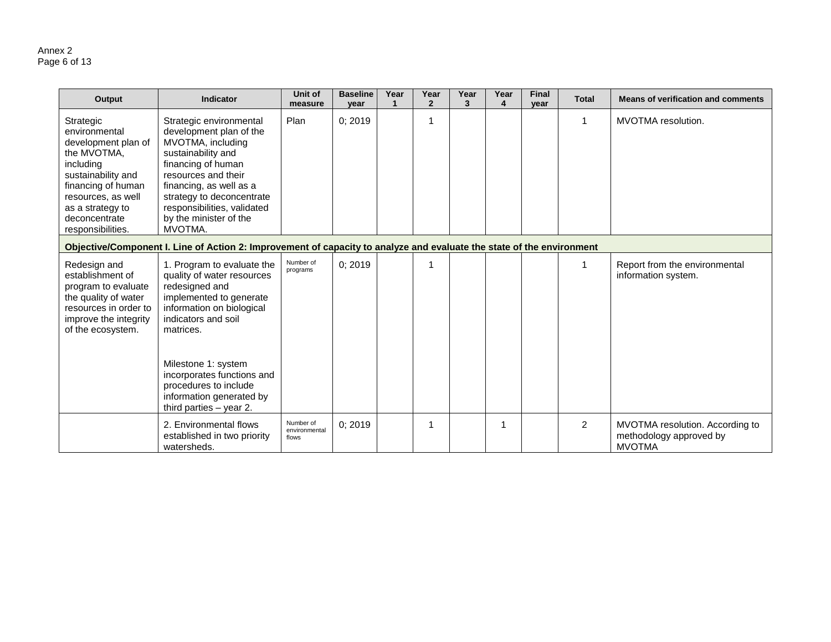#### Annex 2 Page 6 of 13

| Output                                                                                                                                                                                                    | Indicator                                                                                                                                                                                                                                                                                                     | Unit of<br>measure                  | <b>Baseline</b><br>year | Year | Year<br>$\overline{2}$ | Year<br>3 | Year<br>$\blacktriangle$ | <b>Final</b><br>vear | <b>Total</b>   | <b>Means of verification and comments</b>                                   |
|-----------------------------------------------------------------------------------------------------------------------------------------------------------------------------------------------------------|---------------------------------------------------------------------------------------------------------------------------------------------------------------------------------------------------------------------------------------------------------------------------------------------------------------|-------------------------------------|-------------------------|------|------------------------|-----------|--------------------------|----------------------|----------------|-----------------------------------------------------------------------------|
| Strategic<br>environmental<br>development plan of<br>the MVOTMA,<br>including<br>sustainability and<br>financing of human<br>resources, as well<br>as a strategy to<br>deconcentrate<br>responsibilities. | Strategic environmental<br>development plan of the<br>MVOTMA, including<br>sustainability and<br>financing of human<br>resources and their<br>financing, as well as a<br>strategy to deconcentrate<br>responsibilities, validated<br>by the minister of the<br>MVOTMA.                                        | Plan                                | 0; 2019                 |      |                        |           |                          |                      | 1              | MVOTMA resolution.                                                          |
|                                                                                                                                                                                                           | Objective/Component I. Line of Action 2: Improvement of capacity to analyze and evaluate the state of the environment                                                                                                                                                                                         |                                     |                         |      |                        |           |                          |                      |                |                                                                             |
| Redesign and<br>establishment of<br>program to evaluate<br>the quality of water<br>resources in order to<br>improve the integrity<br>of the ecosystem.                                                    | 1. Program to evaluate the<br>quality of water resources<br>redesigned and<br>implemented to generate<br>information on biological<br>indicators and soil<br>matrices.<br>Milestone 1: system<br>incorporates functions and<br>procedures to include<br>information generated by<br>third parties $-$ year 2. | Number of<br>programs               | 0; 2019                 |      |                        |           |                          |                      |                | Report from the environmental<br>information system.                        |
|                                                                                                                                                                                                           | 2. Environmental flows<br>established in two priority<br>watersheds.                                                                                                                                                                                                                                          | Number of<br>environmental<br>flows | 0; 2019                 |      |                        |           | 1                        |                      | $\overline{2}$ | MVOTMA resolution. According to<br>methodology approved by<br><b>MVOTMA</b> |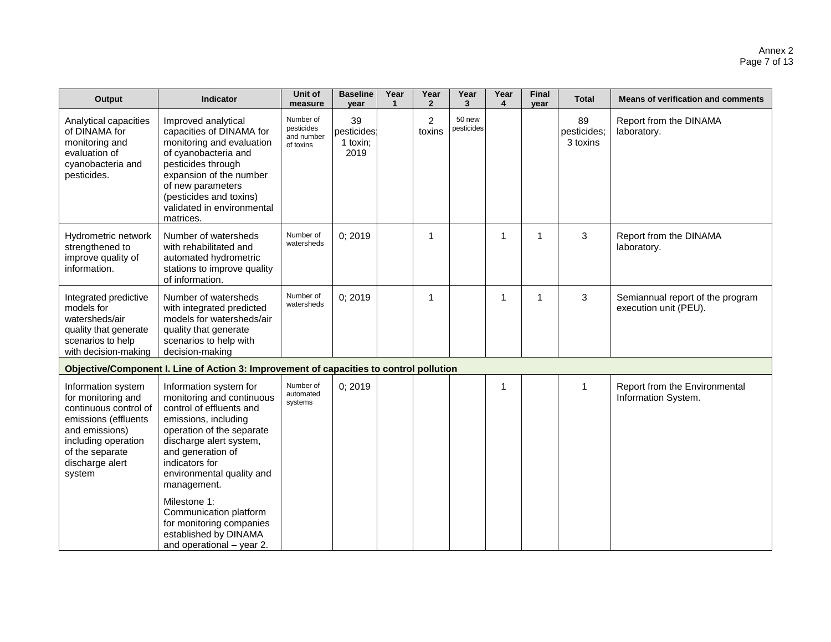| Output                                                                                                                                                                             | Indicator                                                                                                                                                                                                                                          | Unit of<br>measure                                 | <b>Baseline</b><br>year               | Year<br>1 | Year<br>$\mathbf{2}$     | Year<br>3            | Year<br>4      | <b>Final</b><br>year | <b>Total</b>                  | <b>Means of verification and comments</b>                 |
|------------------------------------------------------------------------------------------------------------------------------------------------------------------------------------|----------------------------------------------------------------------------------------------------------------------------------------------------------------------------------------------------------------------------------------------------|----------------------------------------------------|---------------------------------------|-----------|--------------------------|----------------------|----------------|----------------------|-------------------------------|-----------------------------------------------------------|
| Analytical capacities<br>of DINAMA for<br>monitoring and<br>evaluation of<br>cyanobacteria and<br>pesticides.                                                                      | Improved analytical<br>capacities of DINAMA for<br>monitoring and evaluation<br>of cyanobacteria and<br>pesticides through<br>expansion of the number<br>of new parameters<br>(pesticides and toxins)<br>validated in environmental<br>matrices.   | Number of<br>pesticides<br>and number<br>of toxins | 39<br>pesticides:<br>1 toxin;<br>2019 |           | $\overline{2}$<br>toxins | 50 new<br>pesticides |                |                      | 89<br>pesticides;<br>3 toxins | Report from the DINAMA<br>laboratory.                     |
| Hydrometric network<br>strengthened to<br>improve quality of<br>information.                                                                                                       | Number of watersheds<br>with rehabilitated and<br>automated hydrometric<br>stations to improve quality<br>of information.                                                                                                                          | Number of<br>watersheds                            | 0; 2019                               |           | 1                        |                      | $\overline{1}$ | $\mathbf{1}$         | 3                             | Report from the DINAMA<br>laboratory.                     |
| Integrated predictive<br>models for<br>watersheds/air<br>quality that generate<br>scenarios to help<br>with decision-making                                                        | Number of watersheds<br>with integrated predicted<br>models for watersheds/air<br>quality that generate<br>scenarios to help with<br>decision-making                                                                                               | Number of<br>watersheds                            | 0;2019                                |           | 1                        |                      | 1              | 1                    | 3                             | Semiannual report of the program<br>execution unit (PEU). |
|                                                                                                                                                                                    | Objective/Component I. Line of Action 3: Improvement of capacities to control pollution                                                                                                                                                            |                                                    |                                       |           |                          |                      |                |                      |                               |                                                           |
| Information system<br>for monitoring and<br>continuous control of<br>emissions (effluents<br>and emissions)<br>including operation<br>of the separate<br>discharge alert<br>system | Information system for<br>monitoring and continuous<br>control of effluents and<br>emissions, including<br>operation of the separate<br>discharge alert system,<br>and generation of<br>indicators for<br>environmental quality and<br>management. | Number of<br>automated<br>systems                  | 0; 2019                               |           |                          |                      | 1              |                      | 1                             | Report from the Environmental<br>Information System.      |
|                                                                                                                                                                                    | Milestone 1:<br>Communication platform<br>for monitoring companies<br>established by DINAMA<br>and operational - year 2.                                                                                                                           |                                                    |                                       |           |                          |                      |                |                      |                               |                                                           |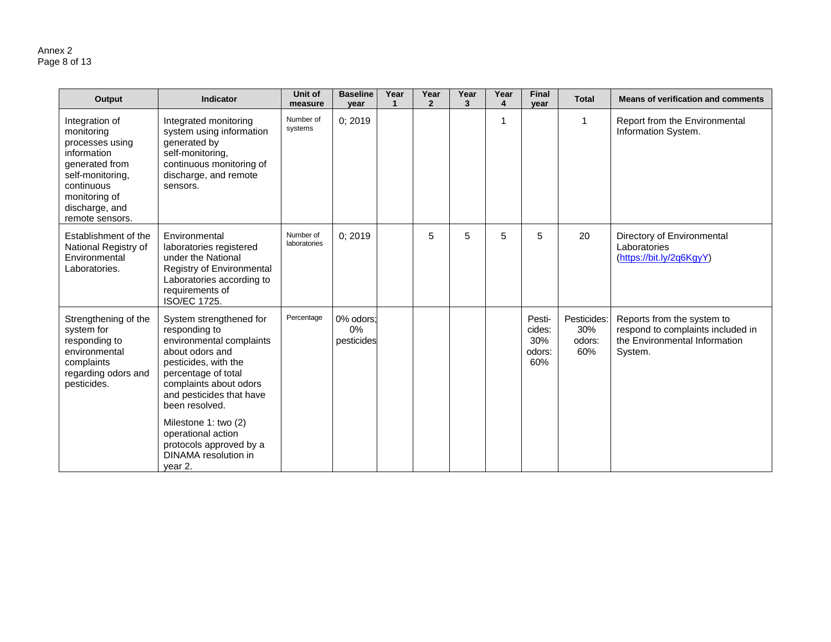#### Annex 2 Page 8 of 13

| Output                                                                                                                                                                   | <b>Indicator</b>                                                                                                                                                                                                                                                                                                           | Unit of<br>measure        | <b>Baseline</b><br>year          | Year<br>$\mathbf{1}$ | Year<br>$\overline{2}$ | Year<br>3 | Year<br>4 | <b>Final</b><br>year                     | <b>Total</b>                        | <b>Means of verification and comments</b>                                                                   |
|--------------------------------------------------------------------------------------------------------------------------------------------------------------------------|----------------------------------------------------------------------------------------------------------------------------------------------------------------------------------------------------------------------------------------------------------------------------------------------------------------------------|---------------------------|----------------------------------|----------------------|------------------------|-----------|-----------|------------------------------------------|-------------------------------------|-------------------------------------------------------------------------------------------------------------|
| Integration of<br>monitoring<br>processes using<br>information<br>generated from<br>self-monitoring,<br>continuous<br>monitoring of<br>discharge, and<br>remote sensors. | Integrated monitoring<br>system using information<br>generated by<br>self-monitoring,<br>continuous monitoring of<br>discharge, and remote<br>sensors.                                                                                                                                                                     | Number of<br>systems      | 0; 2019                          |                      |                        |           | 1         |                                          |                                     | Report from the Environmental<br>Information System.                                                        |
| Establishment of the<br>National Registry of<br>Environmental<br>Laboratories.                                                                                           | Environmental<br>laboratories registered<br>under the National<br>Registry of Environmental<br>Laboratories according to<br>requirements of<br>ISO/EC 1725.                                                                                                                                                                | Number of<br>laboratories | 0; 2019                          |                      | 5                      | 5         | 5         | 5                                        | 20                                  | Directory of Environmental<br>Laboratories<br>(https://bit.ly/2q6KgyY)                                      |
| Strengthening of the<br>system for<br>responding to<br>environmental<br>complaints<br>regarding odors and<br>pesticides.                                                 | System strengthened for<br>responding to<br>environmental complaints<br>about odors and<br>pesticides, with the<br>percentage of total<br>complaints about odors<br>and pesticides that have<br>been resolved.<br>Milestone 1: two (2)<br>operational action<br>protocols approved by a<br>DINAMA resolution in<br>year 2. | Percentage                | 0% odors;<br>$0\%$<br>pesticides |                      |                        |           |           | Pesti-<br>cides:<br>30%<br>odors:<br>60% | Pesticides:<br>30%<br>odors:<br>60% | Reports from the system to<br>respond to complaints included in<br>the Environmental Information<br>System. |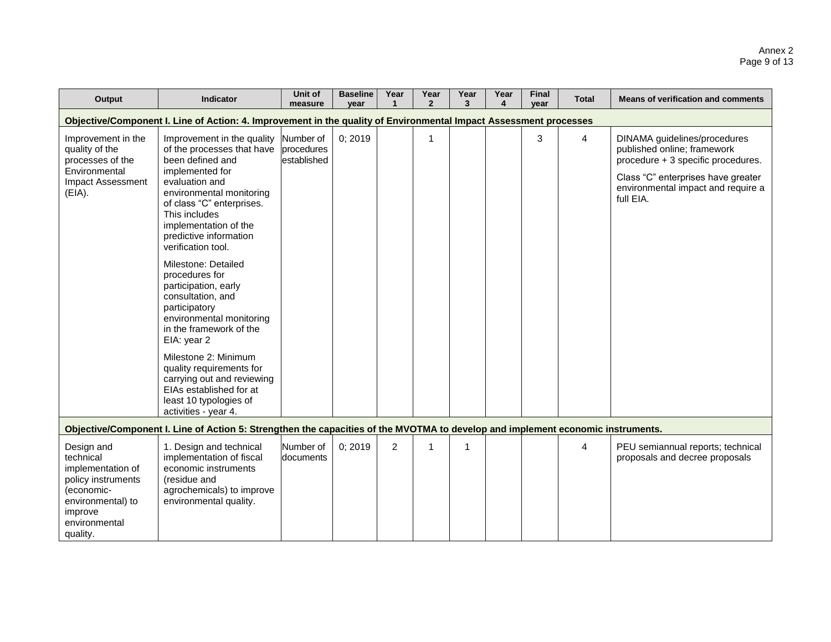#### Annex 2 Page 9 of 13

| Output                                                                                                                                        | <b>Indicator</b>                                                                                                                                                                                                                                                     | Unit of<br>measure                     | <b>Baseline</b><br>year | Year<br>1      | Year<br>$\overline{2}$ | Year<br>3 | Year<br>4 | <b>Final</b><br>vear | <b>Total</b> | <b>Means of verification and comments</b>                                                                                                                                                  |
|-----------------------------------------------------------------------------------------------------------------------------------------------|----------------------------------------------------------------------------------------------------------------------------------------------------------------------------------------------------------------------------------------------------------------------|----------------------------------------|-------------------------|----------------|------------------------|-----------|-----------|----------------------|--------------|--------------------------------------------------------------------------------------------------------------------------------------------------------------------------------------------|
|                                                                                                                                               | Objective/Component I. Line of Action: 4. Improvement in the quality of Environmental Impact Assessment processes                                                                                                                                                    |                                        |                         |                |                        |           |           |                      |              |                                                                                                                                                                                            |
| Improvement in the<br>quality of the<br>processes of the<br>Environmental<br><b>Impact Assessment</b><br>(EIA).                               | Improvement in the quality<br>of the processes that have<br>been defined and<br>implemented for<br>evaluation and<br>environmental monitoring<br>of class "C" enterprises.<br>This includes<br>implementation of the<br>predictive information<br>verification tool. | Number of<br>procedures<br>established | 0; 2019                 |                | 1                      |           |           | 3                    | 4            | DINAMA guidelines/procedures<br>published online; framework<br>procedure + 3 specific procedures.<br>Class "C" enterprises have greater<br>environmental impact and require a<br>full EIA. |
|                                                                                                                                               | Milestone: Detailed<br>procedures for<br>participation, early<br>consultation, and<br>participatory<br>environmental monitoring<br>in the framework of the<br>EIA: year 2<br>Milestone 2: Minimum                                                                    |                                        |                         |                |                        |           |           |                      |              |                                                                                                                                                                                            |
|                                                                                                                                               | quality requirements for<br>carrying out and reviewing<br>EIAs established for at<br>least 10 typologies of<br>activities - year 4.                                                                                                                                  |                                        |                         |                |                        |           |           |                      |              |                                                                                                                                                                                            |
|                                                                                                                                               | Objective/Component I. Line of Action 5: Strengthen the capacities of the MVOTMA to develop and implement economic instruments.                                                                                                                                      |                                        |                         |                |                        |           |           |                      |              |                                                                                                                                                                                            |
| Design and<br>technical<br>implementation of<br>policy instruments<br>(economic-<br>environmental) to<br>improve<br>environmental<br>quality. | 1. Design and technical<br>implementation of fiscal<br>economic instruments<br>(residue and<br>agrochemicals) to improve<br>environmental quality.                                                                                                                   | Number of<br>documents                 | 0; 2019                 | $\overline{2}$ |                        | 1         |           |                      | 4            | PEU semiannual reports; technical<br>proposals and decree proposals                                                                                                                        |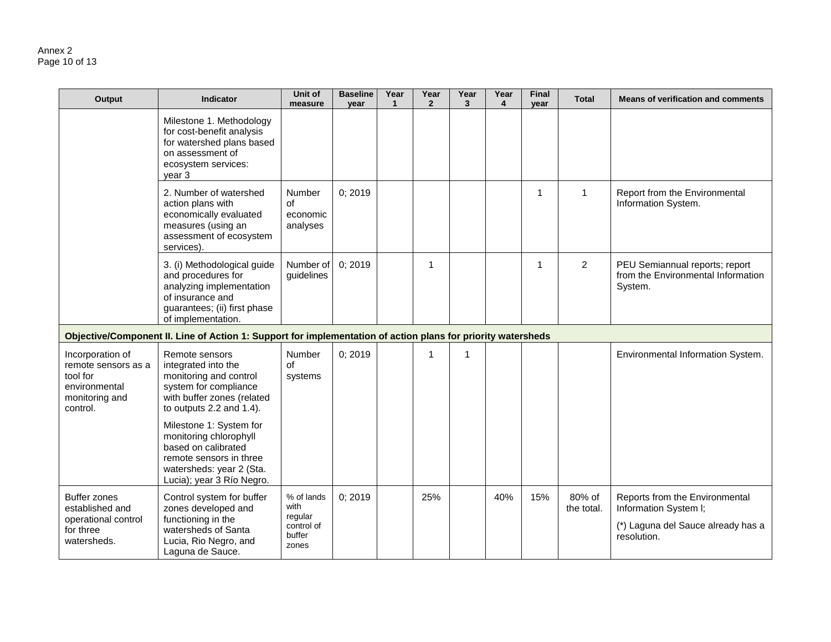#### Annex 2 Page 10 of 13

| Output                                                                                             | <b>Indicator</b>                                                                                                                                             | Unit of<br>measure                                             | <b>Baseline</b><br>year | Year<br>$\mathbf{1}$ | Year<br>$\overline{2}$ | Year<br>$\mathbf{3}$ | Year<br>4 | <b>Final</b><br>year | <b>Total</b>         | <b>Means of verification and comments</b>                                                                    |
|----------------------------------------------------------------------------------------------------|--------------------------------------------------------------------------------------------------------------------------------------------------------------|----------------------------------------------------------------|-------------------------|----------------------|------------------------|----------------------|-----------|----------------------|----------------------|--------------------------------------------------------------------------------------------------------------|
|                                                                                                    | Milestone 1. Methodology<br>for cost-benefit analysis<br>for watershed plans based<br>on assessment of<br>ecosystem services:<br>year 3                      |                                                                |                         |                      |                        |                      |           |                      |                      |                                                                                                              |
|                                                                                                    | 2. Number of watershed<br>action plans with<br>economically evaluated<br>measures (using an<br>assessment of ecosystem<br>services).                         | Number<br>οf<br>economic<br>analyses                           | 0; 2019                 |                      |                        |                      |           | 1                    | -1                   | Report from the Environmental<br>Information System.                                                         |
|                                                                                                    | 3. (i) Methodological guide<br>and procedures for<br>analyzing implementation<br>of insurance and<br>guarantees; (ii) first phase<br>of implementation.      | Number of<br>guidelines                                        | 0; 2019                 |                      | 1                      |                      |           | 1                    | $\overline{2}$       | PEU Semiannual reports; report<br>from the Environmental Information<br>System.                              |
|                                                                                                    | Objective/Component II. Line of Action 1: Support for implementation of action plans for priority watersheds                                                 |                                                                |                         |                      |                        |                      |           |                      |                      |                                                                                                              |
| Incorporation of<br>remote sensors as a<br>tool for<br>environmental<br>monitoring and<br>control. | Remote sensors<br>integrated into the<br>monitoring and control<br>system for compliance<br>with buffer zones (related<br>to outputs 2.2 and 1.4).           | Number<br>of<br>systems                                        | 0; 2019                 |                      | 1                      | 1                    |           |                      |                      | Environmental Information System.                                                                            |
|                                                                                                    | Milestone 1: System for<br>monitoring chlorophyll<br>based on calibrated<br>remote sensors in three<br>watersheds: year 2 (Sta.<br>Lucia); year 3 Río Negro. |                                                                |                         |                      |                        |                      |           |                      |                      |                                                                                                              |
| <b>Buffer zones</b><br>established and<br>operational control<br>for three<br>watersheds.          | Control system for buffer<br>zones developed and<br>functioning in the<br>watersheds of Santa<br>Lucia, Rio Negro, and<br>Laguna de Sauce.                   | % of lands<br>with<br>regular<br>control of<br>buffer<br>zones | 0; 2019                 |                      | 25%                    |                      | 40%       | 15%                  | 80% of<br>the total. | Reports from the Environmental<br>Information System I;<br>(*) Laguna del Sauce already has a<br>resolution. |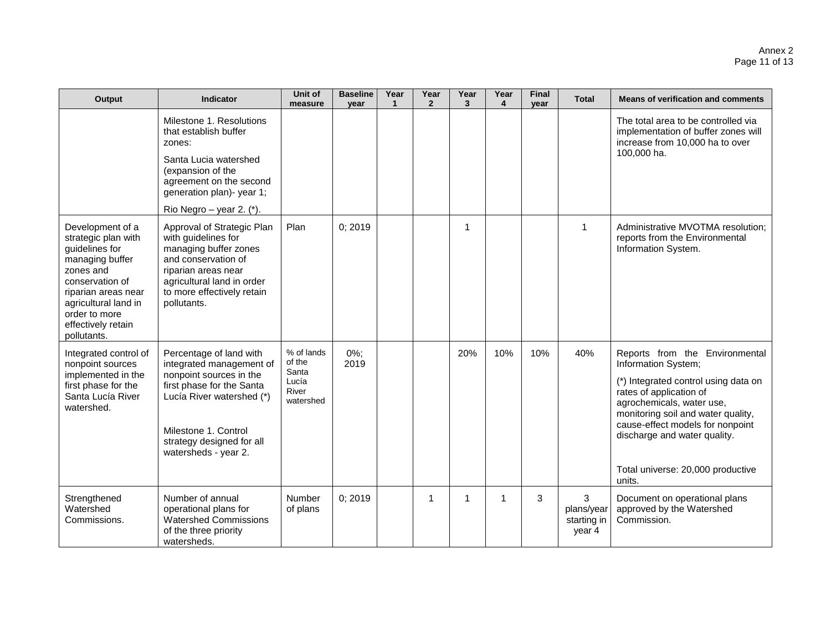| Output                                                                                                                                                                                                            | <b>Indicator</b>                                                                                                                                                                                    | Unit of<br>measure            | <b>Baseline</b><br>year | Year<br>1 | Year<br>$\mathbf{2}$ | Year<br>3 | Year<br>4    | <b>Final</b><br>year | <b>Total</b>                             | <b>Means of verification and comments</b>                                                                                                                                                              |
|-------------------------------------------------------------------------------------------------------------------------------------------------------------------------------------------------------------------|-----------------------------------------------------------------------------------------------------------------------------------------------------------------------------------------------------|-------------------------------|-------------------------|-----------|----------------------|-----------|--------------|----------------------|------------------------------------------|--------------------------------------------------------------------------------------------------------------------------------------------------------------------------------------------------------|
|                                                                                                                                                                                                                   | Milestone 1. Resolutions<br>that establish buffer<br>zones:                                                                                                                                         |                               |                         |           |                      |           |              |                      |                                          | The total area to be controlled via<br>implementation of buffer zones will<br>increase from 10,000 ha to over                                                                                          |
|                                                                                                                                                                                                                   | Santa Lucia watershed<br>(expansion of the<br>agreement on the second<br>generation plan)- year 1;                                                                                                  |                               |                         |           |                      |           |              |                      |                                          | 100,000 ha.                                                                                                                                                                                            |
|                                                                                                                                                                                                                   | Rio Negro – year 2. $(*)$ .                                                                                                                                                                         |                               |                         |           |                      |           |              |                      |                                          |                                                                                                                                                                                                        |
| Development of a<br>strategic plan with<br>guidelines for<br>managing buffer<br>zones and<br>conservation of<br>riparian areas near<br>agricultural land in<br>order to more<br>effectively retain<br>pollutants. | Approval of Strategic Plan<br>with guidelines for<br>managing buffer zones<br>and conservation of<br>riparian areas near<br>agricultural land in order<br>to more effectively retain<br>pollutants. | Plan                          | 0; 2019                 |           |                      | 1         |              |                      | 1                                        | Administrative MVOTMA resolution;<br>reports from the Environmental<br>Information System.                                                                                                             |
| Integrated control of<br>nonpoint sources                                                                                                                                                                         | Percentage of land with<br>integrated management of                                                                                                                                                 | % of lands<br>of the<br>Santa | $0\%$ ;<br>2019         |           |                      | 20%       | 10%          | 10%                  | 40%                                      | Reports from the Environmental<br>Information System;                                                                                                                                                  |
| implemented in the<br>first phase for the<br>Santa Lucía River<br>watershed.                                                                                                                                      | nonpoint sources in the<br>first phase for the Santa<br>Lucía River watershed (*)<br>Milestone 1. Control<br>strategy designed for all<br>watersheds - year 2.                                      | Lucía<br>River<br>watershed   |                         |           |                      |           |              |                      |                                          | (*) Integrated control using data on<br>rates of application of<br>agrochemicals, water use,<br>monitoring soil and water quality,<br>cause-effect models for nonpoint<br>discharge and water quality. |
|                                                                                                                                                                                                                   |                                                                                                                                                                                                     |                               |                         |           |                      |           |              |                      |                                          | Total universe: 20,000 productive<br>units.                                                                                                                                                            |
| Strengthened<br>Watershed<br>Commissions.                                                                                                                                                                         | Number of annual<br>operational plans for<br><b>Watershed Commissions</b><br>of the three priority<br>watersheds.                                                                                   | Number<br>of plans            | 0; 2019                 |           | 1                    | 1         | $\mathbf{1}$ | 3                    | 3<br>plans/year<br>starting in<br>year 4 | Document on operational plans<br>approved by the Watershed<br>Commission.                                                                                                                              |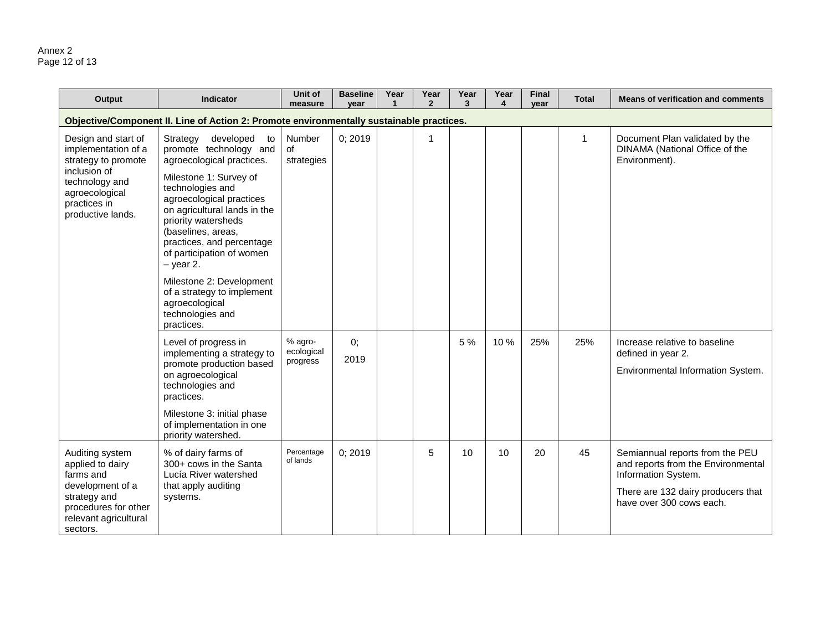#### Annex 2 Page 12 of 13

| Output                                                                                                                                                     | <b>Indicator</b>                                                                                                                                                                                                                                                                                                                                                                                                                 | Unit of<br>measure                | <b>Baseline</b><br>year | Year<br>-1 | Year<br>$\mathbf{2}$ | Year<br>3 | Year<br>$\overline{\mathbf{4}}$ | <b>Final</b><br>year | <b>Total</b> | <b>Means of verification and comments</b>                                                                                                                      |
|------------------------------------------------------------------------------------------------------------------------------------------------------------|----------------------------------------------------------------------------------------------------------------------------------------------------------------------------------------------------------------------------------------------------------------------------------------------------------------------------------------------------------------------------------------------------------------------------------|-----------------------------------|-------------------------|------------|----------------------|-----------|---------------------------------|----------------------|--------------|----------------------------------------------------------------------------------------------------------------------------------------------------------------|
|                                                                                                                                                            | Objective/Component II. Line of Action 2: Promote environmentally sustainable practices.                                                                                                                                                                                                                                                                                                                                         |                                   |                         |            |                      |           |                                 |                      |              |                                                                                                                                                                |
| Design and start of<br>implementation of a<br>strategy to promote<br>inclusion of<br>technology and<br>agroecological<br>practices in<br>productive lands. | developed<br>Strategy<br>to<br>promote technology and<br>agroecological practices.<br>Milestone 1: Survey of<br>technologies and<br>agroecological practices<br>on agricultural lands in the<br>priority watersheds<br>(baselines, areas,<br>practices, and percentage<br>of participation of women<br>$-$ year 2.<br>Milestone 2: Development<br>of a strategy to implement<br>agroecological<br>technologies and<br>practices. | Number<br>of<br>strategies        | 0; 2019                 |            | 1                    |           |                                 |                      | 1            | Document Plan validated by the<br>DINAMA (National Office of the<br>Environment).                                                                              |
|                                                                                                                                                            | Level of progress in<br>implementing a strategy to<br>promote production based<br>on agroecological<br>technologies and<br>practices.<br>Milestone 3: initial phase<br>of implementation in one<br>priority watershed.                                                                                                                                                                                                           | % agro-<br>ecological<br>progress | 0;<br>2019              |            |                      | 5 %       | 10%                             | 25%                  | 25%          | Increase relative to baseline<br>defined in year 2.<br>Environmental Information System.                                                                       |
| Auditing system<br>applied to dairy<br>farms and<br>development of a<br>strategy and<br>procedures for other<br>relevant agricultural<br>sectors.          | % of dairy farms of<br>300+ cows in the Santa<br>Lucía River watershed<br>that apply auditing<br>systems.                                                                                                                                                                                                                                                                                                                        | Percentage<br>of lands            | 0; 2019                 |            | 5                    | 10        | 10 <sup>°</sup>                 | 20                   | 45           | Semiannual reports from the PEU<br>and reports from the Environmental<br>Information System.<br>There are 132 dairy producers that<br>have over 300 cows each. |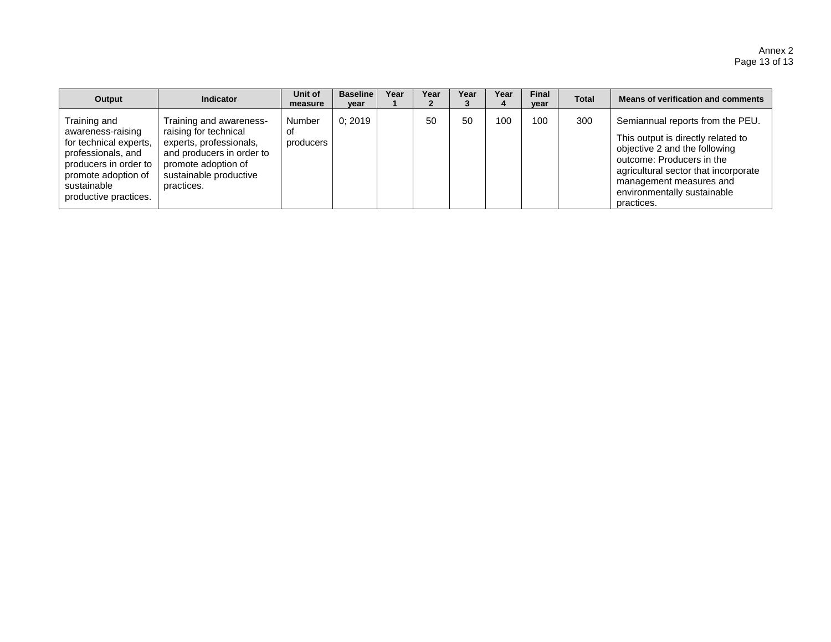| Output                                                                                                                                                                    | Indicator                                                                                                                                                               | Unit of<br>measure        | <b>Baseline</b><br>vear | Year | Year | Year | Year | <b>Final</b><br>year | <b>Total</b> | Means of verification and comments                                                                                                                                                                                                                   |
|---------------------------------------------------------------------------------------------------------------------------------------------------------------------------|-------------------------------------------------------------------------------------------------------------------------------------------------------------------------|---------------------------|-------------------------|------|------|------|------|----------------------|--------------|------------------------------------------------------------------------------------------------------------------------------------------------------------------------------------------------------------------------------------------------------|
| Training and<br>awareness-raising<br>for technical experts,<br>professionals, and<br>producers in order to<br>promote adoption of<br>sustainable<br>productive practices. | Training and awareness-<br>raising for technical<br>experts, professionals,<br>and producers in order to<br>promote adoption of<br>sustainable productive<br>practices. | Number<br>οt<br>producers | 0:2019                  |      | 50   | 50   | 100  | 100                  | 300          | Semiannual reports from the PEU.<br>This output is directly related to<br>objective 2 and the following<br>outcome: Producers in the<br>agricultural sector that incorporate<br>management measures and<br>environmentally sustainable<br>practices. |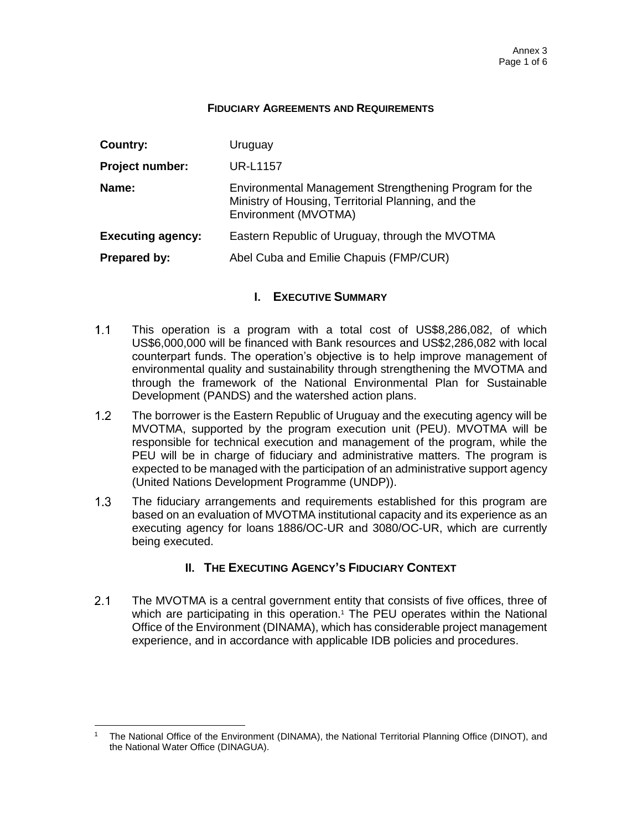#### **FIDUCIARY AGREEMENTS AND REQUIREMENTS**

| Country:                 | Uruguay                                                                                                                              |
|--------------------------|--------------------------------------------------------------------------------------------------------------------------------------|
| <b>Project number:</b>   | <b>UR-L1157</b>                                                                                                                      |
| Name:                    | Environmental Management Strengthening Program for the<br>Ministry of Housing, Territorial Planning, and the<br>Environment (MVOTMA) |
| <b>Executing agency:</b> | Eastern Republic of Uruguay, through the MVOTMA                                                                                      |
| Prepared by:             | Abel Cuba and Emilie Chapuis (FMP/CUR)                                                                                               |

## **I. EXECUTIVE SUMMARY**

- $1.1$ This operation is a program with a total cost of US\$8,286,082, of which US\$6,000,000 will be financed with Bank resources and US\$2,286,082 with local counterpart funds. The operation's objective is to help improve management of environmental quality and sustainability through strengthening the MVOTMA and through the framework of the National Environmental Plan for Sustainable Development (PANDS) and the watershed action plans.
- $1.2<sub>2</sub>$ The borrower is the Eastern Republic of Uruguay and the executing agency will be MVOTMA, supported by the program execution unit (PEU). MVOTMA will be responsible for technical execution and management of the program, while the PEU will be in charge of fiduciary and administrative matters. The program is expected to be managed with the participation of an administrative support agency (United Nations Development Programme (UNDP)).
- $1.3$ The fiduciary arrangements and requirements established for this program are based on an evaluation of MVOTMA institutional capacity and its experience as an executing agency for loans 1886/OC-UR and 3080/OC-UR, which are currently being executed.

## **II. THE EXECUTING AGENCY'S FIDUCIARY CONTEXT**

 $2.1$ The MVOTMA is a central government entity that consists of five offices, three of which are participating in this operation.<sup>1</sup> The PEU operates within the National Office of the Environment (DINAMA), which has considerable project management experience, and in accordance with applicable IDB policies and procedures.

 $\overline{a}$ 

<sup>1</sup> The National Office of the Environment (DINAMA), the National Territorial Planning Office (DINOT), and the National Water Office (DINAGUA).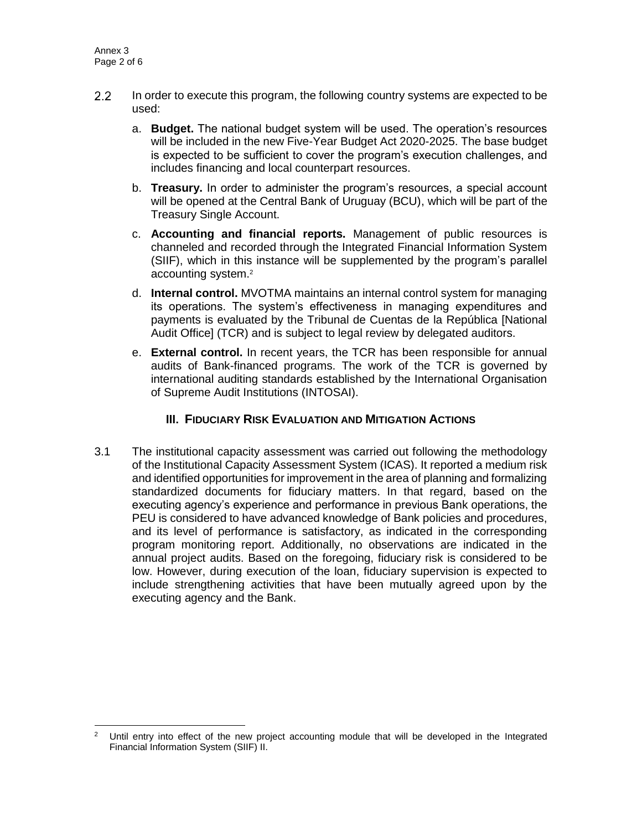- $2.2$ In order to execute this program, the following country systems are expected to be used:
	- a. **Budget.** The national budget system will be used. The operation's resources will be included in the new Five-Year Budget Act 2020-2025. The base budget is expected to be sufficient to cover the program's execution challenges, and includes financing and local counterpart resources.
	- b. **Treasury.** In order to administer the program's resources, a special account will be opened at the Central Bank of Uruguay (BCU), which will be part of the Treasury Single Account.
	- c. **Accounting and financial reports.** Management of public resources is channeled and recorded through the Integrated Financial Information System (SIIF), which in this instance will be supplemented by the program's parallel accounting system.<sup>2</sup>
	- d. **Internal control.** MVOTMA maintains an internal control system for managing its operations. The system's effectiveness in managing expenditures and payments is evaluated by the Tribunal de Cuentas de la República [National Audit Office] (TCR) and is subject to legal review by delegated auditors.
	- e. **External control.** In recent years, the TCR has been responsible for annual audits of Bank-financed programs. The work of the TCR is governed by international auditing standards established by the International Organisation of Supreme Audit Institutions (INTOSAI).

## **III. FIDUCIARY RISK EVALUATION AND MITIGATION ACTIONS**

3.1 The institutional capacity assessment was carried out following the methodology of the Institutional Capacity Assessment System (ICAS). It reported a medium risk and identified opportunities for improvement in the area of planning and formalizing standardized documents for fiduciary matters. In that regard, based on the executing agency's experience and performance in previous Bank operations, the PEU is considered to have advanced knowledge of Bank policies and procedures, and its level of performance is satisfactory, as indicated in the corresponding program monitoring report. Additionally, no observations are indicated in the annual project audits. Based on the foregoing, fiduciary risk is considered to be low. However, during execution of the loan, fiduciary supervision is expected to include strengthening activities that have been mutually agreed upon by the executing agency and the Bank.

 $\overline{a}$ <sup>2</sup> Until entry into effect of the new project accounting module that will be developed in the Integrated Financial Information System (SIIF) II.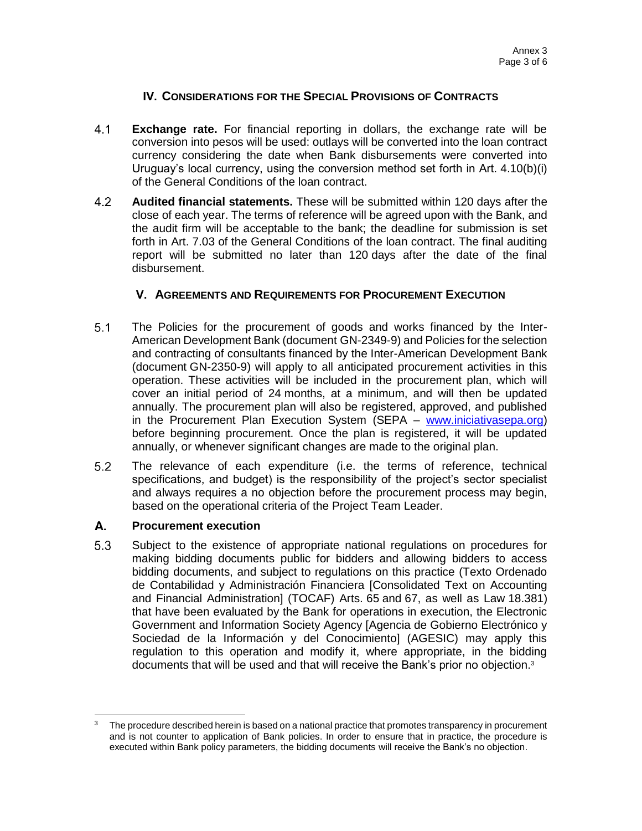## **IV. CONSIDERATIONS FOR THE SPECIAL PROVISIONS OF CONTRACTS**

- $4.1$ **Exchange rate.** For financial reporting in dollars, the exchange rate will be conversion into pesos will be used: outlays will be converted into the loan contract currency considering the date when Bank disbursements were converted into Uruguay's local currency, using the conversion method set forth in Art. 4.10(b)(i) of the General Conditions of the loan contract.
- $4.2$ **Audited financial statements.** These will be submitted within 120 days after the close of each year. The terms of reference will be agreed upon with the Bank, and the audit firm will be acceptable to the bank; the deadline for submission is set forth in Art. 7.03 of the General Conditions of the loan contract. The final auditing report will be submitted no later than 120 days after the date of the final disbursement.

## **V. AGREEMENTS AND REQUIREMENTS FOR PROCUREMENT EXECUTION**

- $5.1$ The Policies for the procurement of goods and works financed by the Inter-American Development Bank (document GN-2349-9) and Policies for the selection and contracting of consultants financed by the Inter-American Development Bank (document GN-2350-9) will apply to all anticipated procurement activities in this operation. These activities will be included in the procurement plan, which will cover an initial period of 24 months, at a minimum, and will then be updated annually. The procurement plan will also be registered, approved, and published in the Procurement Plan Execution System (SEPA – [www.iniciativasepa.org\)](http://www.iniciativasepa.org/) before beginning procurement. Once the plan is registered, it will be updated annually, or whenever significant changes are made to the original plan.
- $5.2$ The relevance of each expenditure (i.e. the terms of reference, technical specifications, and budget) is the responsibility of the project's sector specialist and always requires a no objection before the procurement process may begin, based on the operational criteria of the Project Team Leader.

#### А. **Procurement execution**

5.3 Subject to the existence of appropriate national regulations on procedures for making bidding documents public for bidders and allowing bidders to access bidding documents, and subject to regulations on this practice (Texto Ordenado de Contabilidad y Administración Financiera [Consolidated Text on Accounting and Financial Administration] (TOCAF) Arts. 65 and 67, as well as Law 18.381) that have been evaluated by the Bank for operations in execution, the Electronic Government and Information Society Agency [Agencia de Gobierno Electrónico y Sociedad de la Información y del Conocimiento] (AGESIC) may apply this regulation to this operation and modify it, where appropriate, in the bidding documents that will be used and that will receive the Bank's prior no objection.<sup>3</sup>

  $3$  The procedure described herein is based on a national practice that promotes transparency in procurement and is not counter to application of Bank policies. In order to ensure that in practice, the procedure is executed within Bank policy parameters, the bidding documents will receive the Bank's no objection.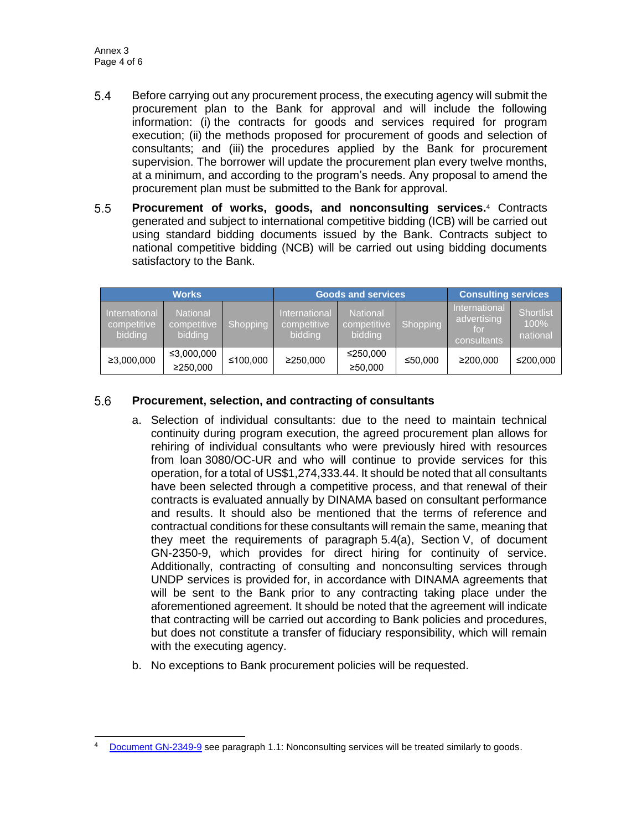- $5.4$ Before carrying out any procurement process, the executing agency will submit the procurement plan to the Bank for approval and will include the following information: (i) the contracts for goods and services required for program execution; (ii) the methods proposed for procurement of goods and selection of consultants; and (iii) the procedures applied by the Bank for procurement supervision. The borrower will update the procurement plan every twelve months, at a minimum, and according to the program's needs. Any proposal to amend the procurement plan must be submitted to the Bank for approval.
- $5.5$ **Procurement of works, goods, and nonconsulting services.**<sup>4</sup> Contracts generated and subject to international competitive bidding (ICB) will be carried out using standard bidding documents issued by the Bank. Contracts subject to national competitive bidding (NCB) will be carried out using bidding documents satisfactory to the Bank.

| <b>Works</b>                            |                                           |          | <b>Goods and services</b>               |                                           |          | <b>Consulting services</b>                                |                                      |
|-----------------------------------------|-------------------------------------------|----------|-----------------------------------------|-------------------------------------------|----------|-----------------------------------------------------------|--------------------------------------|
| International<br>competitive<br>bidding | <b>National</b><br>competitive<br>bidding | Shopping | International<br>competitive<br>bidding | <b>National</b><br>competitive<br>bidding | Shopping | <b>International</b><br>advertising<br>for<br>consultants | <b>Shortlist</b><br>100%<br>national |
| ≥3,000,000                              | ≤3,000,000<br>≥250,000                    | ≤100,000 | ≥250,000                                | ≤250,000<br>≥50,000                       | ≤50,000  | ≥200.000                                                  | ≤200,000                             |

#### $5.6$ **Procurement, selection, and contracting of consultants**

- a. Selection of individual consultants: due to the need to maintain technical continuity during program execution, the agreed procurement plan allows for rehiring of individual consultants who were previously hired with resources from loan 3080/OC-UR and who will continue to provide services for this operation, for a total of US\$1,274,333.44. It should be noted that all consultants have been selected through a competitive process, and that renewal of their contracts is evaluated annually by DINAMA based on consultant performance and results. It should also be mentioned that the terms of reference and contractual conditions for these consultants will remain the same, meaning that they meet the requirements of paragraph 5.4(a), Section V, of document GN-2350-9, which provides for direct hiring for continuity of service. Additionally, contracting of consulting and nonconsulting services through UNDP services is provided for, in accordance with DINAMA agreements that will be sent to the Bank prior to any contracting taking place under the aforementioned agreement. It should be noted that the agreement will indicate that contracting will be carried out according to Bank policies and procedures, but does not constitute a transfer of fiduciary responsibility, which will remain with the executing agency.
- b. No exceptions to Bank procurement policies will be requested.

 Document [GN-2349-9](http://idbdocs.iadb.org/wsdocs/getDocument.aspx?DOCNUM=774396) see paragraph 1.1: Nonconsulting services will be treated similarly to goods.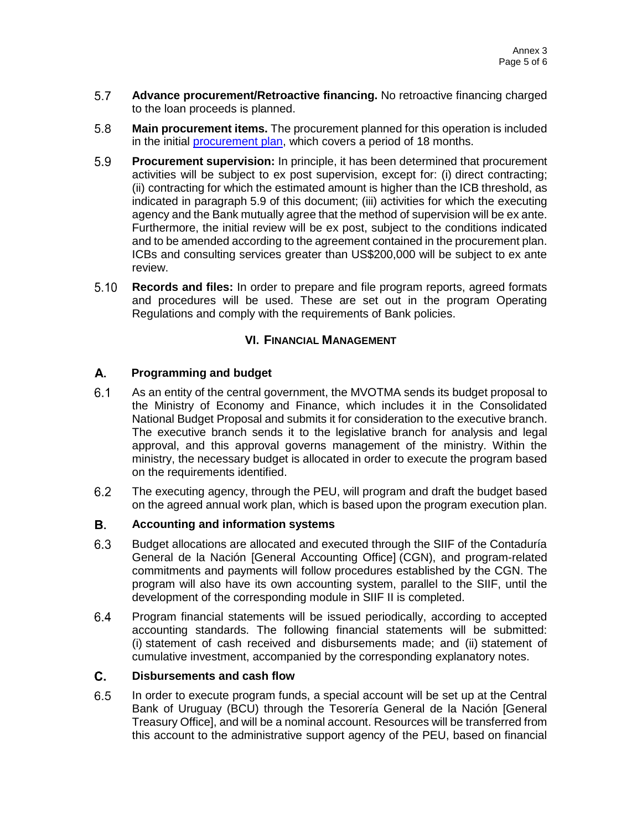- $5.7$ **Advance procurement/Retroactive financing.** No retroactive financing charged to the loan proceeds is planned.
- 5.8 **Main procurement items.** The procurement planned for this operation is included in the initial [procurement plan,](http://idbdocs.iadb.org/wsdocs/getDocument.aspx?DOCNUM=EZSHARE-434689127-26) which covers a period of 18 months.
- 5.9 **Procurement supervision:** In principle, it has been determined that procurement activities will be subject to ex post supervision, except for: (i) direct contracting; (ii) contracting for which the estimated amount is higher than the ICB threshold, as indicated in paragraph 5.9 of this document; (iii) activities for which the executing agency and the Bank mutually agree that the method of supervision will be ex ante. Furthermore, the initial review will be ex post, subject to the conditions indicated and to be amended according to the agreement contained in the procurement plan. ICBs and consulting services greater than US\$200,000 will be subject to ex ante review.
- $5.10$ **Records and files:** In order to prepare and file program reports, agreed formats and procedures will be used. These are set out in the program Operating Regulations and comply with the requirements of Bank policies.

## **VI. FINANCIAL MANAGEMENT**

#### А. **Programming and budget**

- $6.1$ As an entity of the central government, the MVOTMA sends its budget proposal to the Ministry of Economy and Finance, which includes it in the Consolidated National Budget Proposal and submits it for consideration to the executive branch. The executive branch sends it to the legislative branch for analysis and legal approval, and this approval governs management of the ministry. Within the ministry, the necessary budget is allocated in order to execute the program based on the requirements identified.
- $6.2$ The executing agency, through the PEU, will program and draft the budget based on the agreed annual work plan, which is based upon the program execution plan.

#### В. **Accounting and information systems**

- $6.3$ Budget allocations are allocated and executed through the SIIF of the Contaduría General de la Nación [General Accounting Office] (CGN), and program-related commitments and payments will follow procedures established by the CGN. The program will also have its own accounting system, parallel to the SIIF, until the development of the corresponding module in SIIF II is completed.
- $6.4$ Program financial statements will be issued periodically, according to accepted accounting standards. The following financial statements will be submitted: (i) statement of cash received and disbursements made; and (ii) statement of cumulative investment, accompanied by the corresponding explanatory notes.

#### C. **Disbursements and cash flow**

6.5 In order to execute program funds, a special account will be set up at the Central Bank of Uruguay (BCU) through the Tesorería General de la Nación [General Treasury Office], and will be a nominal account. Resources will be transferred from this account to the administrative support agency of the PEU, based on financial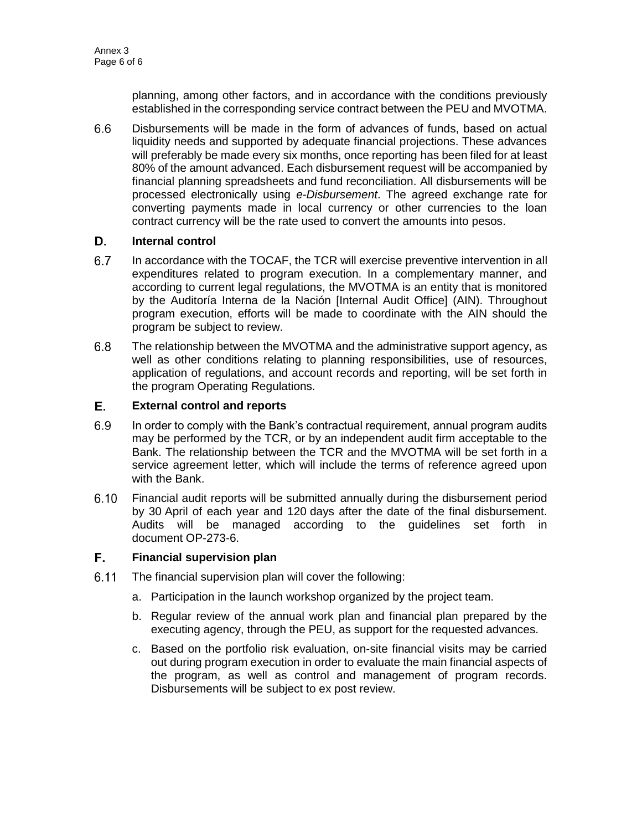planning, among other factors, and in accordance with the conditions previously established in the corresponding service contract between the PEU and MVOTMA.

 $6.6$ Disbursements will be made in the form of advances of funds, based on actual liquidity needs and supported by adequate financial projections. These advances will preferably be made every six months, once reporting has been filed for at least 80% of the amount advanced. Each disbursement request will be accompanied by financial planning spreadsheets and fund reconciliation. All disbursements will be processed electronically using *e-Disbursement*. The agreed exchange rate for converting payments made in local currency or other currencies to the loan contract currency will be the rate used to convert the amounts into pesos.

#### D. **Internal control**

- $6.7$ In accordance with the TOCAF, the TCR will exercise preventive intervention in all expenditures related to program execution. In a complementary manner, and according to current legal regulations, the MVOTMA is an entity that is monitored by the Auditoría Interna de la Nación [Internal Audit Office] (AIN). Throughout program execution, efforts will be made to coordinate with the AIN should the program be subject to review.
- $6.8$ The relationship between the MVOTMA and the administrative support agency, as well as other conditions relating to planning responsibilities, use of resources, application of regulations, and account records and reporting, will be set forth in the program Operating Regulations.

#### E. **External control and reports**

- $6.9$ In order to comply with the Bank's contractual requirement, annual program audits may be performed by the TCR, or by an independent audit firm acceptable to the Bank. The relationship between the TCR and the MVOTMA will be set forth in a service agreement letter, which will include the terms of reference agreed upon with the Bank.
- $6.10$ Financial audit reports will be submitted annually during the disbursement period by 30 April of each year and 120 days after the date of the final disbursement. Audits will be managed according to the guidelines set forth in document OP-273-6.

#### F. **Financial supervision plan**

- $6.11$ The financial supervision plan will cover the following:
	- a. Participation in the launch workshop organized by the project team.
	- b. Regular review of the annual work plan and financial plan prepared by the executing agency, through the PEU, as support for the requested advances.
	- c. Based on the portfolio risk evaluation, on-site financial visits may be carried out during program execution in order to evaluate the main financial aspects of the program, as well as control and management of program records. Disbursements will be subject to ex post review.